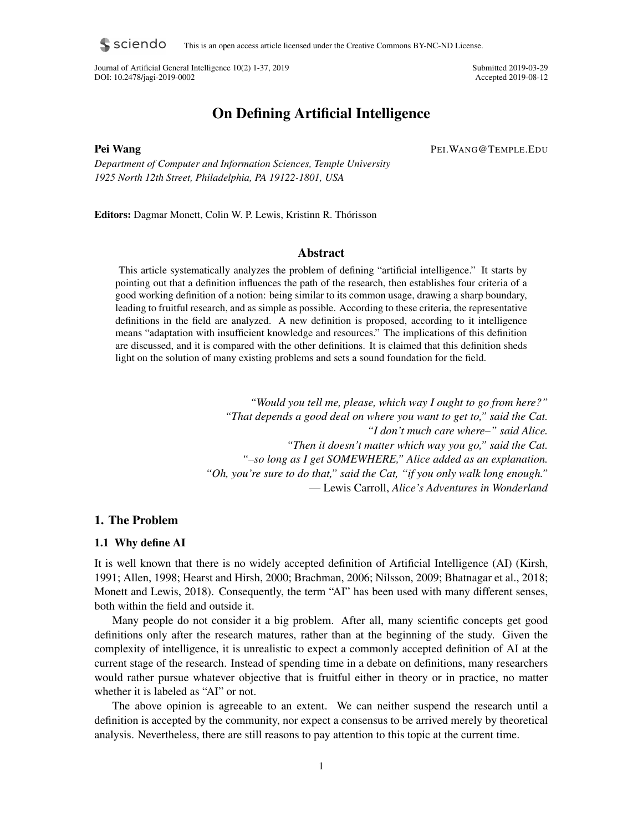s sciendo This is an open access article licensed under the Creative Commons BY-NC-ND License.

Journal of Artificial General Intelligence 10(2) 1-37, 2019 Submitted 2019-03-29 DOI: 10.2478/jagi-2019-0002 Accepted 2019-08-12

# On Defining Artificial Intelligence

Pei Wang PEI.WANG@TEMPLE.EDU

*Department of Computer and Information Sciences, Temple University 1925 North 12th Street, Philadelphia, PA 19122-1801, USA*

Editors: Dagmar Monett, Colin W. P. Lewis, Kristinn R. Thórisson

## Abstract

This article systematically analyzes the problem of defining "artificial intelligence." It starts by pointing out that a definition influences the path of the research, then establishes four criteria of a good working definition of a notion: being similar to its common usage, drawing a sharp boundary, leading to fruitful research, and as simple as possible. According to these criteria, the representative definitions in the field are analyzed. A new definition is proposed, according to it intelligence means "adaptation with insufficient knowledge and resources." The implications of this definition are discussed, and it is compared with the other definitions. It is claimed that this definition sheds light on the solution of many existing problems and sets a sound foundation for the field.

> *"Would you tell me, please, which way I ought to go from here?" "That depends a good deal on where you want to get to," said the Cat. "I don't much care where–" said Alice. "Then it doesn't matter which way you go," said the Cat. "–so long as I get SOMEWHERE," Alice added as an explanation. "Oh, you're sure to do that," said the Cat, "if you only walk long enough."* — Lewis Carroll, *Alice's Adventures in Wonderland*

## 1. The Problem

## 1.1 Why define AI

It is well known that there is no widely accepted definition of Artificial Intelligence (AI) (Kirsh, 1991; Allen, 1998; Hearst and Hirsh, 2000; Brachman, 2006; Nilsson, 2009; Bhatnagar et al., 2018; Monett and Lewis, 2018). Consequently, the term "AI" has been used with many different senses, both within the field and outside it.

Many people do not consider it a big problem. After all, many scientific concepts get good definitions only after the research matures, rather than at the beginning of the study. Given the complexity of intelligence, it is unrealistic to expect a commonly accepted definition of AI at the current stage of the research. Instead of spending time in a debate on definitions, many researchers would rather pursue whatever objective that is fruitful either in theory or in practice, no matter whether it is labeled as "AI" or not.

The above opinion is agreeable to an extent. We can neither suspend the research until a definition is accepted by the community, nor expect a consensus to be arrived merely by theoretical analysis. Nevertheless, there are still reasons to pay attention to this topic at the current time.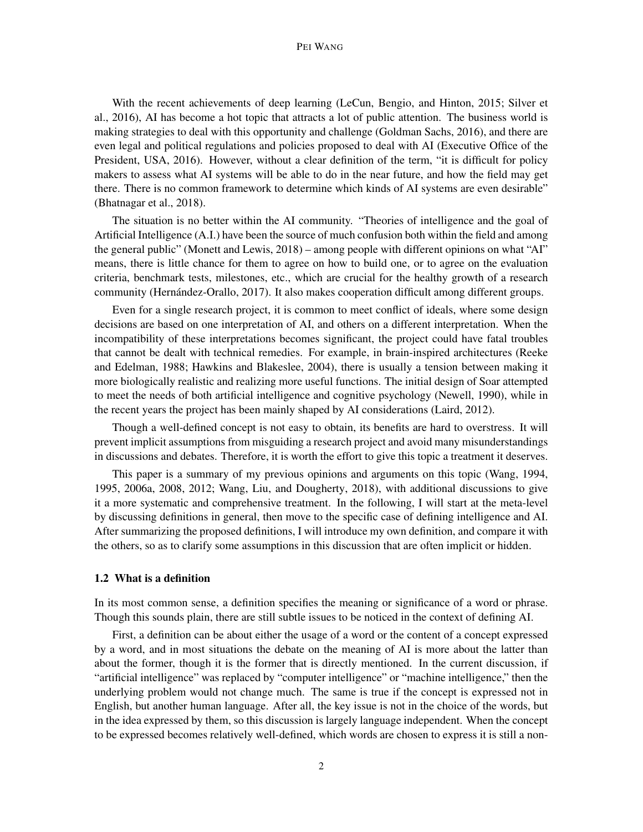#### PEI WANG

With the recent achievements of deep learning (LeCun, Bengio, and Hinton, 2015; Silver et al., 2016), AI has become a hot topic that attracts a lot of public attention. The business world is making strategies to deal with this opportunity and challenge (Goldman Sachs, 2016), and there are even legal and political regulations and policies proposed to deal with AI (Executive Office of the President, USA, 2016). However, without a clear definition of the term, "it is difficult for policy makers to assess what AI systems will be able to do in the near future, and how the field may get there. There is no common framework to determine which kinds of AI systems are even desirable" (Bhatnagar et al., 2018).

The situation is no better within the AI community. "Theories of intelligence and the goal of Artificial Intelligence (A.I.) have been the source of much confusion both within the field and among the general public" (Monett and Lewis, 2018) – among people with different opinions on what "AI" means, there is little chance for them to agree on how to build one, or to agree on the evaluation criteria, benchmark tests, milestones, etc., which are crucial for the healthy growth of a research community (Hernández-Orallo, 2017). It also makes cooperation difficult among different groups.

Even for a single research project, it is common to meet conflict of ideals, where some design decisions are based on one interpretation of AI, and others on a different interpretation. When the incompatibility of these interpretations becomes significant, the project could have fatal troubles that cannot be dealt with technical remedies. For example, in brain-inspired architectures (Reeke and Edelman, 1988; Hawkins and Blakeslee, 2004), there is usually a tension between making it more biologically realistic and realizing more useful functions. The initial design of Soar attempted to meet the needs of both artificial intelligence and cognitive psychology (Newell, 1990), while in the recent years the project has been mainly shaped by AI considerations (Laird, 2012).

Though a well-defined concept is not easy to obtain, its benefits are hard to overstress. It will prevent implicit assumptions from misguiding a research project and avoid many misunderstandings in discussions and debates. Therefore, it is worth the effort to give this topic a treatment it deserves.

This paper is a summary of my previous opinions and arguments on this topic (Wang, 1994, 1995, 2006a, 2008, 2012; Wang, Liu, and Dougherty, 2018), with additional discussions to give it a more systematic and comprehensive treatment. In the following, I will start at the meta-level by discussing definitions in general, then move to the specific case of defining intelligence and AI. After summarizing the proposed definitions, I will introduce my own definition, and compare it with the others, so as to clarify some assumptions in this discussion that are often implicit or hidden.

#### 1.2 What is a definition

In its most common sense, a definition specifies the meaning or significance of a word or phrase. Though this sounds plain, there are still subtle issues to be noticed in the context of defining AI.

First, a definition can be about either the usage of a word or the content of a concept expressed by a word, and in most situations the debate on the meaning of AI is more about the latter than about the former, though it is the former that is directly mentioned. In the current discussion, if "artificial intelligence" was replaced by "computer intelligence" or "machine intelligence," then the underlying problem would not change much. The same is true if the concept is expressed not in English, but another human language. After all, the key issue is not in the choice of the words, but in the idea expressed by them, so this discussion is largely language independent. When the concept to be expressed becomes relatively well-defined, which words are chosen to express it is still a non-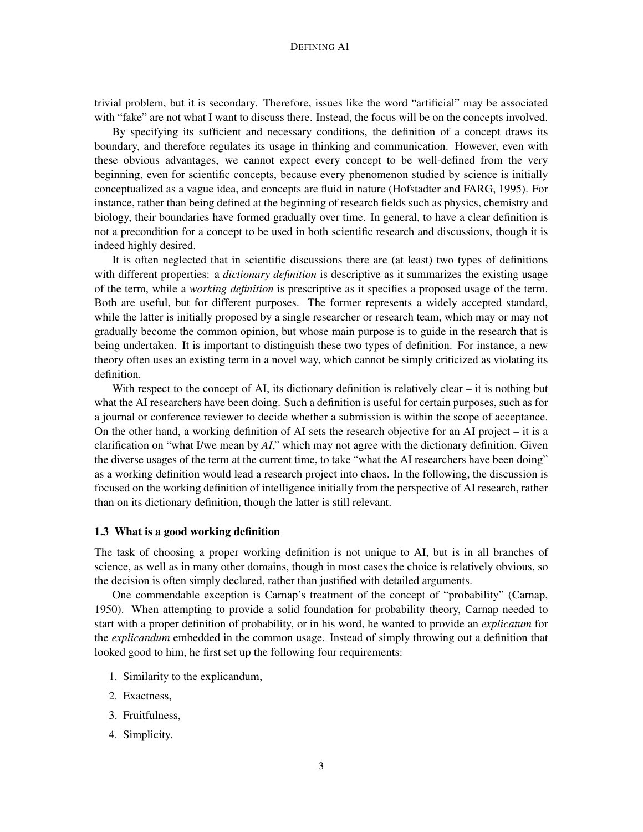trivial problem, but it is secondary. Therefore, issues like the word "artificial" may be associated with "fake" are not what I want to discuss there. Instead, the focus will be on the concepts involved.

By specifying its sufficient and necessary conditions, the definition of a concept draws its boundary, and therefore regulates its usage in thinking and communication. However, even with these obvious advantages, we cannot expect every concept to be well-defined from the very beginning, even for scientific concepts, because every phenomenon studied by science is initially conceptualized as a vague idea, and concepts are fluid in nature (Hofstadter and FARG, 1995). For instance, rather than being defined at the beginning of research fields such as physics, chemistry and biology, their boundaries have formed gradually over time. In general, to have a clear definition is not a precondition for a concept to be used in both scientific research and discussions, though it is indeed highly desired.

It is often neglected that in scientific discussions there are (at least) two types of definitions with different properties: a *dictionary definition* is descriptive as it summarizes the existing usage of the term, while a *working definition* is prescriptive as it specifies a proposed usage of the term. Both are useful, but for different purposes. The former represents a widely accepted standard, while the latter is initially proposed by a single researcher or research team, which may or may not gradually become the common opinion, but whose main purpose is to guide in the research that is being undertaken. It is important to distinguish these two types of definition. For instance, a new theory often uses an existing term in a novel way, which cannot be simply criticized as violating its definition.

With respect to the concept of AI, its dictionary definition is relatively clear – it is nothing but what the AI researchers have been doing. Such a definition is useful for certain purposes, such as for a journal or conference reviewer to decide whether a submission is within the scope of acceptance. On the other hand, a working definition of AI sets the research objective for an AI project – it is a clarification on "what I/we mean by *AI*," which may not agree with the dictionary definition. Given the diverse usages of the term at the current time, to take "what the AI researchers have been doing" as a working definition would lead a research project into chaos. In the following, the discussion is focused on the working definition of intelligence initially from the perspective of AI research, rather than on its dictionary definition, though the latter is still relevant.

### 1.3 What is a good working definition

The task of choosing a proper working definition is not unique to AI, but is in all branches of science, as well as in many other domains, though in most cases the choice is relatively obvious, so the decision is often simply declared, rather than justified with detailed arguments.

One commendable exception is Carnap's treatment of the concept of "probability" (Carnap, 1950). When attempting to provide a solid foundation for probability theory, Carnap needed to start with a proper definition of probability, or in his word, he wanted to provide an *explicatum* for the *explicandum* embedded in the common usage. Instead of simply throwing out a definition that looked good to him, he first set up the following four requirements:

- 1. Similarity to the explicandum,
- 2. Exactness,
- 3. Fruitfulness,
- 4. Simplicity.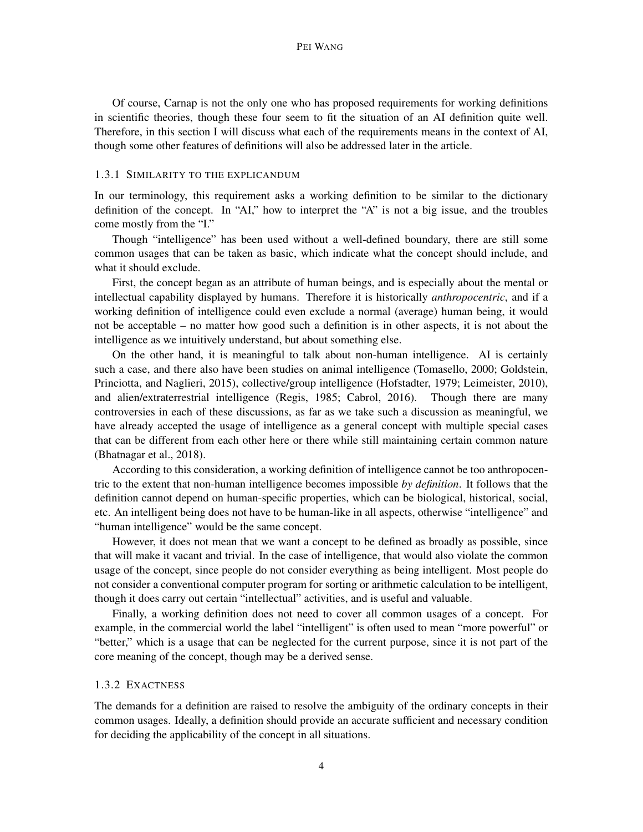Of course, Carnap is not the only one who has proposed requirements for working definitions in scientific theories, though these four seem to fit the situation of an AI definition quite well. Therefore, in this section I will discuss what each of the requirements means in the context of AI, though some other features of definitions will also be addressed later in the article.

#### 1.3.1 SIMILARITY TO THE EXPLICANDUM

In our terminology, this requirement asks a working definition to be similar to the dictionary definition of the concept. In "AI," how to interpret the "A" is not a big issue, and the troubles come mostly from the "I."

Though "intelligence" has been used without a well-defined boundary, there are still some common usages that can be taken as basic, which indicate what the concept should include, and what it should exclude.

First, the concept began as an attribute of human beings, and is especially about the mental or intellectual capability displayed by humans. Therefore it is historically *anthropocentric*, and if a working definition of intelligence could even exclude a normal (average) human being, it would not be acceptable – no matter how good such a definition is in other aspects, it is not about the intelligence as we intuitively understand, but about something else.

On the other hand, it is meaningful to talk about non-human intelligence. AI is certainly such a case, and there also have been studies on animal intelligence (Tomasello, 2000; Goldstein, Princiotta, and Naglieri, 2015), collective/group intelligence (Hofstadter, 1979; Leimeister, 2010), and alien/extraterrestrial intelligence (Regis, 1985; Cabrol, 2016). Though there are many controversies in each of these discussions, as far as we take such a discussion as meaningful, we have already accepted the usage of intelligence as a general concept with multiple special cases that can be different from each other here or there while still maintaining certain common nature (Bhatnagar et al., 2018).

According to this consideration, a working definition of intelligence cannot be too anthropocentric to the extent that non-human intelligence becomes impossible *by definition*. It follows that the definition cannot depend on human-specific properties, which can be biological, historical, social, etc. An intelligent being does not have to be human-like in all aspects, otherwise "intelligence" and "human intelligence" would be the same concept.

However, it does not mean that we want a concept to be defined as broadly as possible, since that will make it vacant and trivial. In the case of intelligence, that would also violate the common usage of the concept, since people do not consider everything as being intelligent. Most people do not consider a conventional computer program for sorting or arithmetic calculation to be intelligent, though it does carry out certain "intellectual" activities, and is useful and valuable.

Finally, a working definition does not need to cover all common usages of a concept. For example, in the commercial world the label "intelligent" is often used to mean "more powerful" or "better," which is a usage that can be neglected for the current purpose, since it is not part of the core meaning of the concept, though may be a derived sense.

#### 1.3.2 EXACTNESS

The demands for a definition are raised to resolve the ambiguity of the ordinary concepts in their common usages. Ideally, a definition should provide an accurate sufficient and necessary condition for deciding the applicability of the concept in all situations.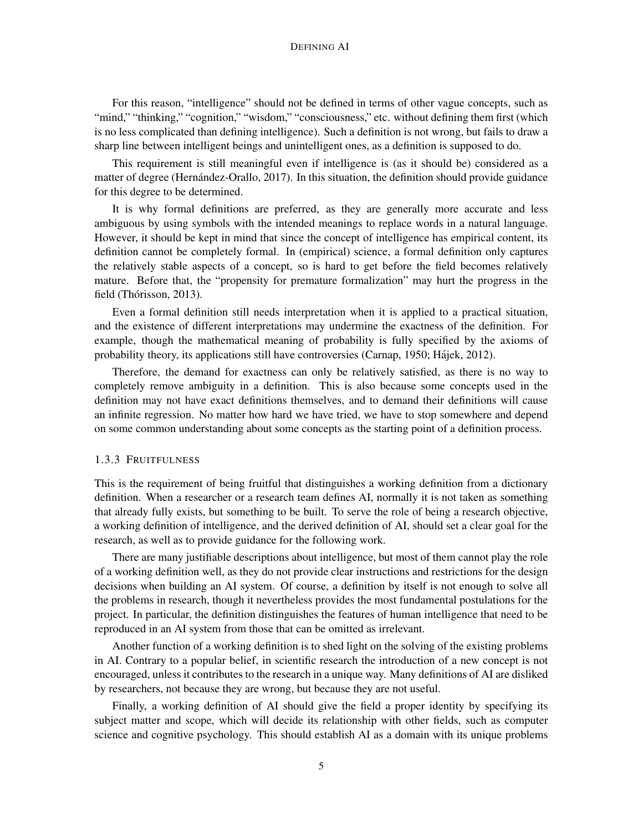For this reason, "intelligence" should not be defined in terms of other vague concepts, such as "mind," "thinking," "cognition," "wisdom," "consciousness," etc. without defining them first (which is no less complicated than defining intelligence). Such a definition is not wrong, but fails to draw a sharp line between intelligent beings and unintelligent ones, as a definition is supposed to do.

This requirement is still meaningful even if intelligence is (as it should be) considered as a matter of degree (Hernández-Orallo, 2017). In this situation, the definition should provide guidance for this degree to be determined.

It is why formal definitions are preferred, as they are generally more accurate and less ambiguous by using symbols with the intended meanings to replace words in a natural language. However, it should be kept in mind that since the concept of intelligence has empirical content, its definition cannot be completely formal. In (empirical) science, a formal definition only captures the relatively stable aspects of a concept, so is hard to get before the field becomes relatively mature. Before that, the "propensity for premature formalization" may hurt the progress in the field (Thórisson, 2013).

Even a formal definition still needs interpretation when it is applied to a practical situation, and the existence of different interpretations may undermine the exactness of the definition. For example, though the mathematical meaning of probability is fully specified by the axioms of probability theory, its applications still have controversies (Carnap, 1950; Hajek, 2012). ´

Therefore, the demand for exactness can only be relatively satisfied, as there is no way to completely remove ambiguity in a definition. This is also because some concepts used in the definition may not have exact definitions themselves, and to demand their definitions will cause an infinite regression. No matter how hard we have tried, we have to stop somewhere and depend on some common understanding about some concepts as the starting point of a definition process.

## 1.3.3 FRUITFULNESS

This is the requirement of being fruitful that distinguishes a working definition from a dictionary definition. When a researcher or a research team defines AI, normally it is not taken as something that already fully exists, but something to be built. To serve the role of being a research objective, a working definition of intelligence, and the derived definition of AI, should set a clear goal for the research, as well as to provide guidance for the following work.

There are many justifiable descriptions about intelligence, but most of them cannot play the role of a working definition well, as they do not provide clear instructions and restrictions for the design decisions when building an AI system. Of course, a definition by itself is not enough to solve all the problems in research, though it nevertheless provides the most fundamental postulations for the project. In particular, the definition distinguishes the features of human intelligence that need to be reproduced in an AI system from those that can be omitted as irrelevant.

Another function of a working definition is to shed light on the solving of the existing problems in AI. Contrary to a popular belief, in scientific research the introduction of a new concept is not encouraged, unless it contributes to the research in a unique way. Many definitions of AI are disliked by researchers, not because they are wrong, but because they are not useful.

Finally, a working definition of AI should give the field a proper identity by specifying its subject matter and scope, which will decide its relationship with other fields, such as computer science and cognitive psychology. This should establish AI as a domain with its unique problems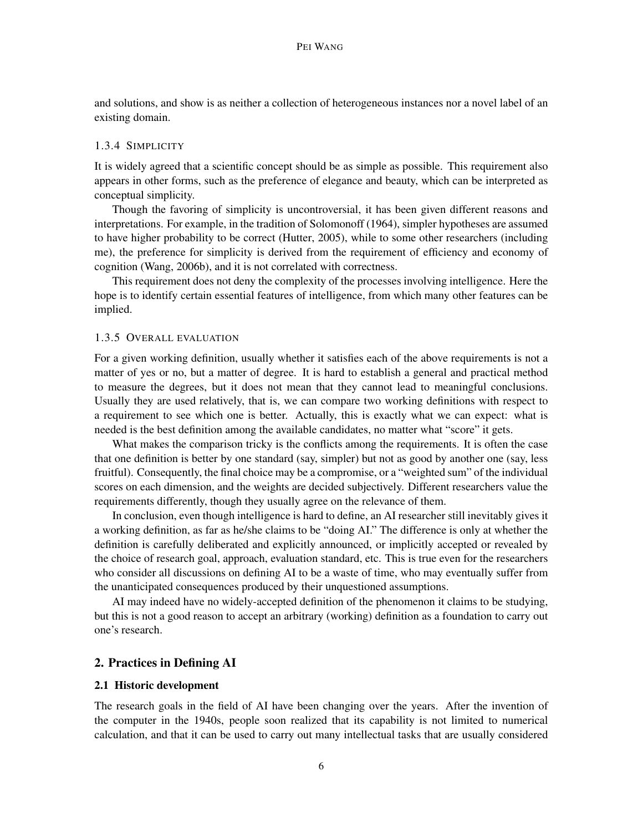and solutions, and show is as neither a collection of heterogeneous instances nor a novel label of an existing domain.

### 1.3.4 SIMPLICITY

It is widely agreed that a scientific concept should be as simple as possible. This requirement also appears in other forms, such as the preference of elegance and beauty, which can be interpreted as conceptual simplicity.

Though the favoring of simplicity is uncontroversial, it has been given different reasons and interpretations. For example, in the tradition of Solomonoff (1964), simpler hypotheses are assumed to have higher probability to be correct (Hutter, 2005), while to some other researchers (including me), the preference for simplicity is derived from the requirement of efficiency and economy of cognition (Wang, 2006b), and it is not correlated with correctness.

This requirement does not deny the complexity of the processes involving intelligence. Here the hope is to identify certain essential features of intelligence, from which many other features can be implied.

#### 1.3.5 OVERALL EVALUATION

For a given working definition, usually whether it satisfies each of the above requirements is not a matter of yes or no, but a matter of degree. It is hard to establish a general and practical method to measure the degrees, but it does not mean that they cannot lead to meaningful conclusions. Usually they are used relatively, that is, we can compare two working definitions with respect to a requirement to see which one is better. Actually, this is exactly what we can expect: what is needed is the best definition among the available candidates, no matter what "score" it gets.

What makes the comparison tricky is the conflicts among the requirements. It is often the case that one definition is better by one standard (say, simpler) but not as good by another one (say, less fruitful). Consequently, the final choice may be a compromise, or a "weighted sum" of the individual scores on each dimension, and the weights are decided subjectively. Different researchers value the requirements differently, though they usually agree on the relevance of them.

In conclusion, even though intelligence is hard to define, an AI researcher still inevitably gives it a working definition, as far as he/she claims to be "doing AI." The difference is only at whether the definition is carefully deliberated and explicitly announced, or implicitly accepted or revealed by the choice of research goal, approach, evaluation standard, etc. This is true even for the researchers who consider all discussions on defining AI to be a waste of time, who may eventually suffer from the unanticipated consequences produced by their unquestioned assumptions.

AI may indeed have no widely-accepted definition of the phenomenon it claims to be studying, but this is not a good reason to accept an arbitrary (working) definition as a foundation to carry out one's research.

## 2. Practices in Defining AI

#### 2.1 Historic development

The research goals in the field of AI have been changing over the years. After the invention of the computer in the 1940s, people soon realized that its capability is not limited to numerical calculation, and that it can be used to carry out many intellectual tasks that are usually considered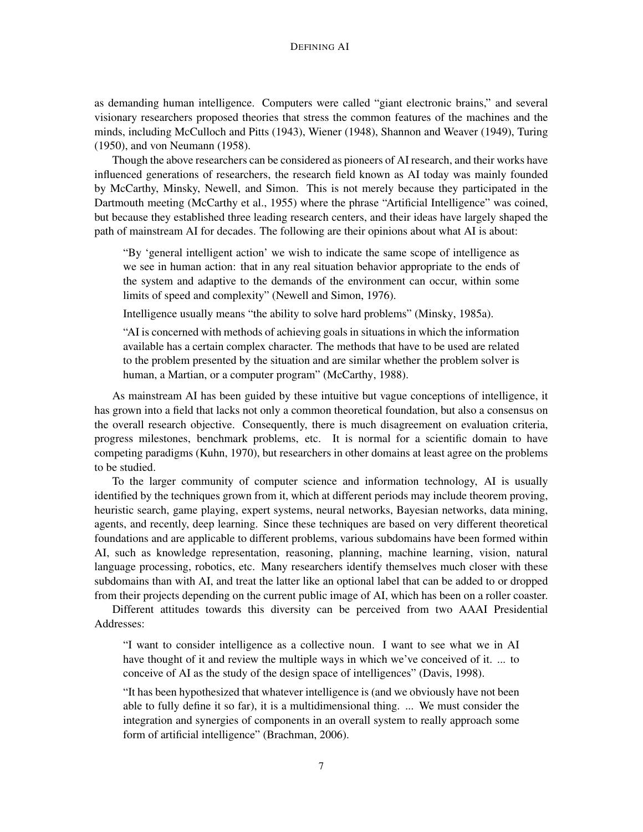as demanding human intelligence. Computers were called "giant electronic brains," and several visionary researchers proposed theories that stress the common features of the machines and the minds, including McCulloch and Pitts (1943), Wiener (1948), Shannon and Weaver (1949), Turing (1950), and von Neumann (1958).

Though the above researchers can be considered as pioneers of AI research, and their works have influenced generations of researchers, the research field known as AI today was mainly founded by McCarthy, Minsky, Newell, and Simon. This is not merely because they participated in the Dartmouth meeting (McCarthy et al., 1955) where the phrase "Artificial Intelligence" was coined, but because they established three leading research centers, and their ideas have largely shaped the path of mainstream AI for decades. The following are their opinions about what AI is about:

"By 'general intelligent action' we wish to indicate the same scope of intelligence as we see in human action: that in any real situation behavior appropriate to the ends of the system and adaptive to the demands of the environment can occur, within some limits of speed and complexity" (Newell and Simon, 1976).

Intelligence usually means "the ability to solve hard problems" (Minsky, 1985a).

"AI is concerned with methods of achieving goals in situations in which the information available has a certain complex character. The methods that have to be used are related to the problem presented by the situation and are similar whether the problem solver is human, a Martian, or a computer program" (McCarthy, 1988).

As mainstream AI has been guided by these intuitive but vague conceptions of intelligence, it has grown into a field that lacks not only a common theoretical foundation, but also a consensus on the overall research objective. Consequently, there is much disagreement on evaluation criteria, progress milestones, benchmark problems, etc. It is normal for a scientific domain to have competing paradigms (Kuhn, 1970), but researchers in other domains at least agree on the problems to be studied.

To the larger community of computer science and information technology, AI is usually identified by the techniques grown from it, which at different periods may include theorem proving, heuristic search, game playing, expert systems, neural networks, Bayesian networks, data mining, agents, and recently, deep learning. Since these techniques are based on very different theoretical foundations and are applicable to different problems, various subdomains have been formed within AI, such as knowledge representation, reasoning, planning, machine learning, vision, natural language processing, robotics, etc. Many researchers identify themselves much closer with these subdomains than with AI, and treat the latter like an optional label that can be added to or dropped from their projects depending on the current public image of AI, which has been on a roller coaster.

Different attitudes towards this diversity can be perceived from two AAAI Presidential Addresses:

"I want to consider intelligence as a collective noun. I want to see what we in AI have thought of it and review the multiple ways in which we've conceived of it. ... to conceive of AI as the study of the design space of intelligences" (Davis, 1998).

"It has been hypothesized that whatever intelligence is (and we obviously have not been able to fully define it so far), it is a multidimensional thing. ... We must consider the integration and synergies of components in an overall system to really approach some form of artificial intelligence" (Brachman, 2006).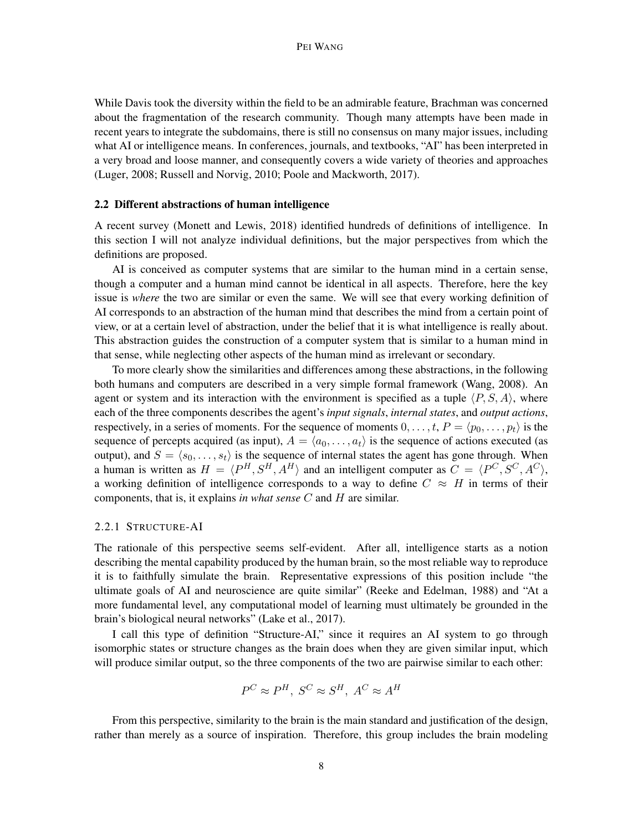While Davis took the diversity within the field to be an admirable feature, Brachman was concerned about the fragmentation of the research community. Though many attempts have been made in recent years to integrate the subdomains, there is still no consensus on many major issues, including what AI or intelligence means. In conferences, journals, and textbooks, "AI" has been interpreted in a very broad and loose manner, and consequently covers a wide variety of theories and approaches (Luger, 2008; Russell and Norvig, 2010; Poole and Mackworth, 2017).

#### 2.2 Different abstractions of human intelligence

A recent survey (Monett and Lewis, 2018) identified hundreds of definitions of intelligence. In this section I will not analyze individual definitions, but the major perspectives from which the definitions are proposed.

AI is conceived as computer systems that are similar to the human mind in a certain sense, though a computer and a human mind cannot be identical in all aspects. Therefore, here the key issue is *where* the two are similar or even the same. We will see that every working definition of AI corresponds to an abstraction of the human mind that describes the mind from a certain point of view, or at a certain level of abstraction, under the belief that it is what intelligence is really about. This abstraction guides the construction of a computer system that is similar to a human mind in that sense, while neglecting other aspects of the human mind as irrelevant or secondary.

To more clearly show the similarities and differences among these abstractions, in the following both humans and computers are described in a very simple formal framework (Wang, 2008). An agent or system and its interaction with the environment is specified as a tuple  $\langle P, S, A \rangle$ , where each of the three components describes the agent's *input signals*, *internal states*, and *output actions*, respectively, in a series of moments. For the sequence of moments  $0, \ldots, t, P = \langle p_0, \ldots, p_t \rangle$  is the sequence of percepts acquired (as input),  $A = \langle a_0, \ldots, a_t \rangle$  is the sequence of actions executed (as output), and  $S = \langle s_0, \ldots, s_t \rangle$  is the sequence of internal states the agent has gone through. When a human is written as  $H = \langle P^H, S^H, A^H \rangle$  and an intelligent computer as  $C = \langle P^C, S^C, A^C \rangle$ , a working definition of intelligence corresponds to a way to define  $C \approx H$  in terms of their components, that is, it explains *in what sense* C and H are similar.

#### 2.2.1 STRUCTURE-AI

The rationale of this perspective seems self-evident. After all, intelligence starts as a notion describing the mental capability produced by the human brain, so the most reliable way to reproduce it is to faithfully simulate the brain. Representative expressions of this position include "the ultimate goals of AI and neuroscience are quite similar" (Reeke and Edelman, 1988) and "At a more fundamental level, any computational model of learning must ultimately be grounded in the brain's biological neural networks" (Lake et al., 2017).

I call this type of definition "Structure-AI," since it requires an AI system to go through isomorphic states or structure changes as the brain does when they are given similar input, which will produce similar output, so the three components of the two are pairwise similar to each other:

$$
P^C \approx P^H, \ S^C \approx S^H, \ A^C \approx A^H
$$

From this perspective, similarity to the brain is the main standard and justification of the design, rather than merely as a source of inspiration. Therefore, this group includes the brain modeling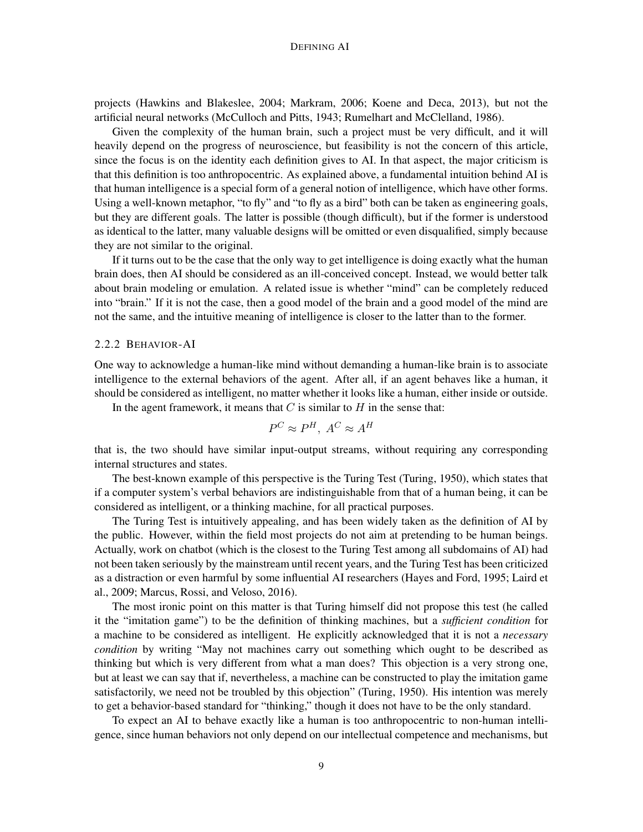projects (Hawkins and Blakeslee, 2004; Markram, 2006; Koene and Deca, 2013), but not the artificial neural networks (McCulloch and Pitts, 1943; Rumelhart and McClelland, 1986).

Given the complexity of the human brain, such a project must be very difficult, and it will heavily depend on the progress of neuroscience, but feasibility is not the concern of this article, since the focus is on the identity each definition gives to AI. In that aspect, the major criticism is that this definition is too anthropocentric. As explained above, a fundamental intuition behind AI is that human intelligence is a special form of a general notion of intelligence, which have other forms. Using a well-known metaphor, "to fly" and "to fly as a bird" both can be taken as engineering goals, but they are different goals. The latter is possible (though difficult), but if the former is understood as identical to the latter, many valuable designs will be omitted or even disqualified, simply because they are not similar to the original.

If it turns out to be the case that the only way to get intelligence is doing exactly what the human brain does, then AI should be considered as an ill-conceived concept. Instead, we would better talk about brain modeling or emulation. A related issue is whether "mind" can be completely reduced into "brain." If it is not the case, then a good model of the brain and a good model of the mind are not the same, and the intuitive meaning of intelligence is closer to the latter than to the former.

### 2.2.2 BEHAVIOR-AI

One way to acknowledge a human-like mind without demanding a human-like brain is to associate intelligence to the external behaviors of the agent. After all, if an agent behaves like a human, it should be considered as intelligent, no matter whether it looks like a human, either inside or outside.

In the agent framework, it means that  $C$  is similar to  $H$  in the sense that:

$$
P^C \approx P^H, \ A^C \approx A^H
$$

that is, the two should have similar input-output streams, without requiring any corresponding internal structures and states.

The best-known example of this perspective is the Turing Test (Turing, 1950), which states that if a computer system's verbal behaviors are indistinguishable from that of a human being, it can be considered as intelligent, or a thinking machine, for all practical purposes.

The Turing Test is intuitively appealing, and has been widely taken as the definition of AI by the public. However, within the field most projects do not aim at pretending to be human beings. Actually, work on chatbot (which is the closest to the Turing Test among all subdomains of AI) had not been taken seriously by the mainstream until recent years, and the Turing Test has been criticized as a distraction or even harmful by some influential AI researchers (Hayes and Ford, 1995; Laird et al., 2009; Marcus, Rossi, and Veloso, 2016).

The most ironic point on this matter is that Turing himself did not propose this test (he called it the "imitation game") to be the definition of thinking machines, but a *sufficient condition* for a machine to be considered as intelligent. He explicitly acknowledged that it is not a *necessary condition* by writing "May not machines carry out something which ought to be described as thinking but which is very different from what a man does? This objection is a very strong one, but at least we can say that if, nevertheless, a machine can be constructed to play the imitation game satisfactorily, we need not be troubled by this objection" (Turing, 1950). His intention was merely to get a behavior-based standard for "thinking," though it does not have to be the only standard.

To expect an AI to behave exactly like a human is too anthropocentric to non-human intelligence, since human behaviors not only depend on our intellectual competence and mechanisms, but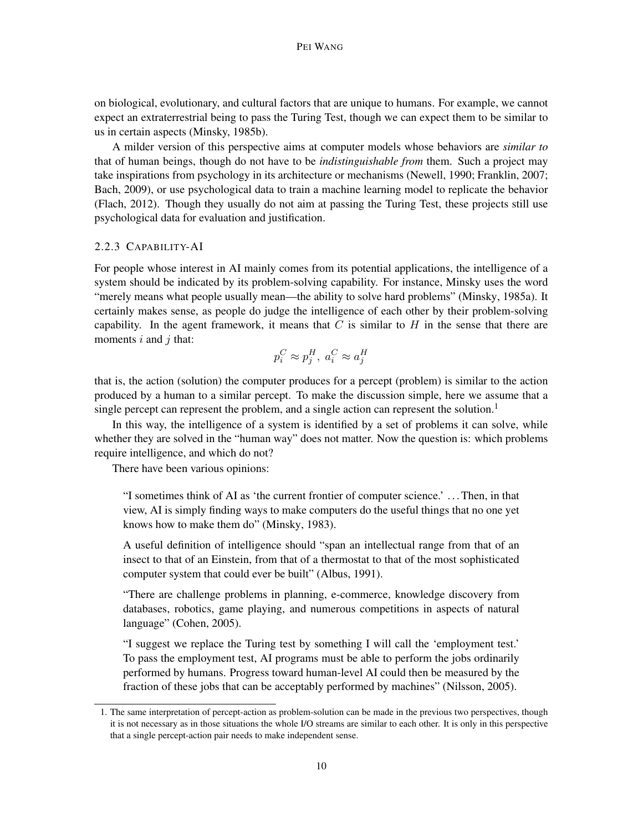on biological, evolutionary, and cultural factors that are unique to humans. For example, we cannot expect an extraterrestrial being to pass the Turing Test, though we can expect them to be similar to us in certain aspects (Minsky, 1985b).

A milder version of this perspective aims at computer models whose behaviors are *similar to* that of human beings, though do not have to be *indistinguishable from* them. Such a project may take inspirations from psychology in its architecture or mechanisms (Newell, 1990; Franklin, 2007; Bach, 2009), or use psychological data to train a machine learning model to replicate the behavior (Flach, 2012). Though they usually do not aim at passing the Turing Test, these projects still use psychological data for evaluation and justification.

#### 2.2.3 CAPABILITY-AI

For people whose interest in AI mainly comes from its potential applications, the intelligence of a system should be indicated by its problem-solving capability. For instance, Minsky uses the word "merely means what people usually mean—the ability to solve hard problems" (Minsky, 1985a). It certainly makes sense, as people do judge the intelligence of each other by their problem-solving capability. In the agent framework, it means that  $C$  is similar to  $H$  in the sense that there are moments  $i$  and  $j$  that:

$$
p_i^C \approx p_j^H, \ a_i^C \approx a_j^H
$$

that is, the action (solution) the computer produces for a percept (problem) is similar to the action produced by a human to a similar percept. To make the discussion simple, here we assume that a single percept can represent the problem, and a single action can represent the solution.<sup>1</sup>

In this way, the intelligence of a system is identified by a set of problems it can solve, while whether they are solved in the "human way" does not matter. Now the question is: which problems require intelligence, and which do not?

There have been various opinions:

"I sometimes think of AI as 'the current frontier of computer science.' . . . Then, in that view, AI is simply finding ways to make computers do the useful things that no one yet knows how to make them do" (Minsky, 1983).

A useful definition of intelligence should "span an intellectual range from that of an insect to that of an Einstein, from that of a thermostat to that of the most sophisticated computer system that could ever be built" (Albus, 1991).

"There are challenge problems in planning, e-commerce, knowledge discovery from databases, robotics, game playing, and numerous competitions in aspects of natural language" (Cohen, 2005).

"I suggest we replace the Turing test by something I will call the 'employment test.' To pass the employment test, AI programs must be able to perform the jobs ordinarily performed by humans. Progress toward human-level AI could then be measured by the fraction of these jobs that can be acceptably performed by machines" (Nilsson, 2005).

<sup>1.</sup> The same interpretation of percept-action as problem-solution can be made in the previous two perspectives, though it is not necessary as in those situations the whole I/O streams are similar to each other. It is only in this perspective that a single percept-action pair needs to make independent sense.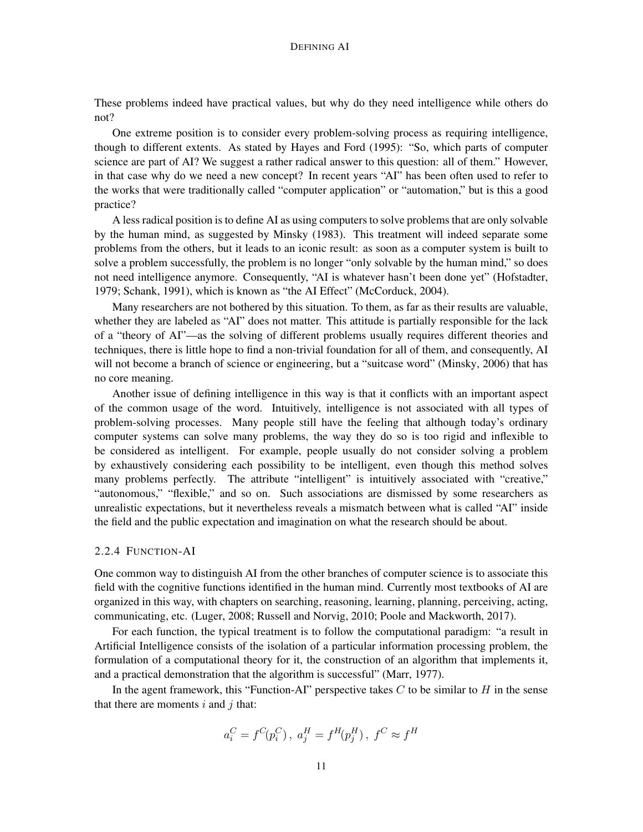These problems indeed have practical values, but why do they need intelligence while others do not?

One extreme position is to consider every problem-solving process as requiring intelligence, though to different extents. As stated by Hayes and Ford (1995): "So, which parts of computer science are part of AI? We suggest a rather radical answer to this question: all of them." However, in that case why do we need a new concept? In recent years "AI" has been often used to refer to the works that were traditionally called "computer application" or "automation," but is this a good practice?

A less radical position is to define AI as using computers to solve problems that are only solvable by the human mind, as suggested by Minsky (1983). This treatment will indeed separate some problems from the others, but it leads to an iconic result: as soon as a computer system is built to solve a problem successfully, the problem is no longer "only solvable by the human mind," so does not need intelligence anymore. Consequently, "AI is whatever hasn't been done yet" (Hofstadter, 1979; Schank, 1991), which is known as "the AI Effect" (McCorduck, 2004).

Many researchers are not bothered by this situation. To them, as far as their results are valuable, whether they are labeled as "AI" does not matter. This attitude is partially responsible for the lack of a "theory of AI"—as the solving of different problems usually requires different theories and techniques, there is little hope to find a non-trivial foundation for all of them, and consequently, AI will not become a branch of science or engineering, but a "suitcase word" (Minsky, 2006) that has no core meaning.

Another issue of defining intelligence in this way is that it conflicts with an important aspect of the common usage of the word. Intuitively, intelligence is not associated with all types of problem-solving processes. Many people still have the feeling that although today's ordinary computer systems can solve many problems, the way they do so is too rigid and inflexible to be considered as intelligent. For example, people usually do not consider solving a problem by exhaustively considering each possibility to be intelligent, even though this method solves many problems perfectly. The attribute "intelligent" is intuitively associated with "creative," "autonomous," "flexible," and so on. Such associations are dismissed by some researchers as unrealistic expectations, but it nevertheless reveals a mismatch between what is called "AI" inside the field and the public expectation and imagination on what the research should be about.

#### 2.2.4 FUNCTION-AI

One common way to distinguish AI from the other branches of computer science is to associate this field with the cognitive functions identified in the human mind. Currently most textbooks of AI are organized in this way, with chapters on searching, reasoning, learning, planning, perceiving, acting, communicating, etc. (Luger, 2008; Russell and Norvig, 2010; Poole and Mackworth, 2017).

For each function, the typical treatment is to follow the computational paradigm: "a result in Artificial Intelligence consists of the isolation of a particular information processing problem, the formulation of a computational theory for it, the construction of an algorithm that implements it, and a practical demonstration that the algorithm is successful" (Marr, 1977).

In the agent framework, this "Function-AI" perspective takes  $C$  to be similar to  $H$  in the sense that there are moments  $i$  and  $j$  that:

$$
a_i^C = f^C\! (p_i^C) \, , \; a_j^H = f^H\! (p_j^H) \, , \; f^C \approx f^H
$$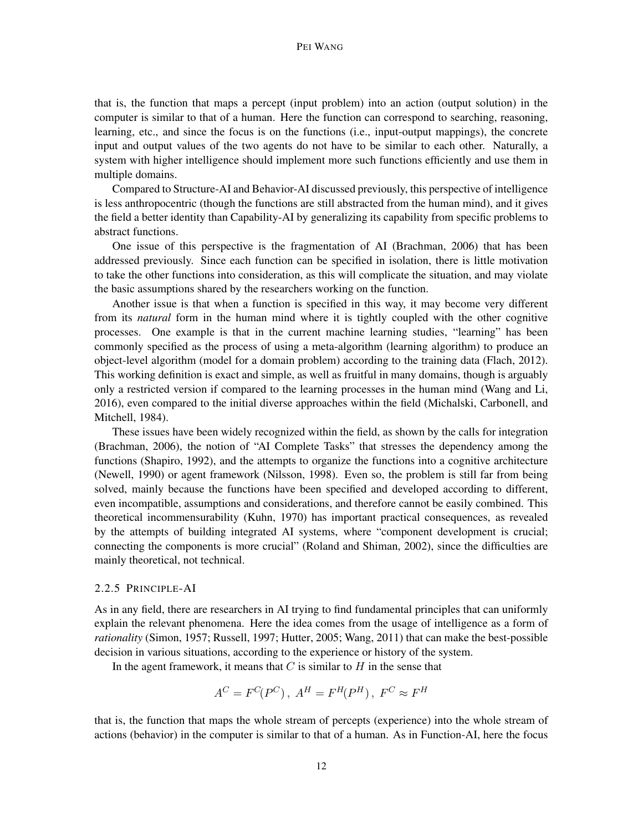#### PEI WANG

that is, the function that maps a percept (input problem) into an action (output solution) in the computer is similar to that of a human. Here the function can correspond to searching, reasoning, learning, etc., and since the focus is on the functions (i.e., input-output mappings), the concrete input and output values of the two agents do not have to be similar to each other. Naturally, a system with higher intelligence should implement more such functions efficiently and use them in multiple domains.

Compared to Structure-AI and Behavior-AI discussed previously, this perspective of intelligence is less anthropocentric (though the functions are still abstracted from the human mind), and it gives the field a better identity than Capability-AI by generalizing its capability from specific problems to abstract functions.

One issue of this perspective is the fragmentation of AI (Brachman, 2006) that has been addressed previously. Since each function can be specified in isolation, there is little motivation to take the other functions into consideration, as this will complicate the situation, and may violate the basic assumptions shared by the researchers working on the function.

Another issue is that when a function is specified in this way, it may become very different from its *natural* form in the human mind where it is tightly coupled with the other cognitive processes. One example is that in the current machine learning studies, "learning" has been commonly specified as the process of using a meta-algorithm (learning algorithm) to produce an object-level algorithm (model for a domain problem) according to the training data (Flach, 2012). This working definition is exact and simple, as well as fruitful in many domains, though is arguably only a restricted version if compared to the learning processes in the human mind (Wang and Li, 2016), even compared to the initial diverse approaches within the field (Michalski, Carbonell, and Mitchell, 1984).

These issues have been widely recognized within the field, as shown by the calls for integration (Brachman, 2006), the notion of "AI Complete Tasks" that stresses the dependency among the functions (Shapiro, 1992), and the attempts to organize the functions into a cognitive architecture (Newell, 1990) or agent framework (Nilsson, 1998). Even so, the problem is still far from being solved, mainly because the functions have been specified and developed according to different, even incompatible, assumptions and considerations, and therefore cannot be easily combined. This theoretical incommensurability (Kuhn, 1970) has important practical consequences, as revealed by the attempts of building integrated AI systems, where "component development is crucial; connecting the components is more crucial" (Roland and Shiman, 2002), since the difficulties are mainly theoretical, not technical.

## 2.2.5 PRINCIPLE-AI

As in any field, there are researchers in AI trying to find fundamental principles that can uniformly explain the relevant phenomena. Here the idea comes from the usage of intelligence as a form of *rationality* (Simon, 1957; Russell, 1997; Hutter, 2005; Wang, 2011) that can make the best-possible decision in various situations, according to the experience or history of the system.

In the agent framework, it means that  $C$  is similar to  $H$  in the sense that

$$
A^C = F^C(P^C), A^H = F^H(P^H), F^C \approx F^H
$$

that is, the function that maps the whole stream of percepts (experience) into the whole stream of actions (behavior) in the computer is similar to that of a human. As in Function-AI, here the focus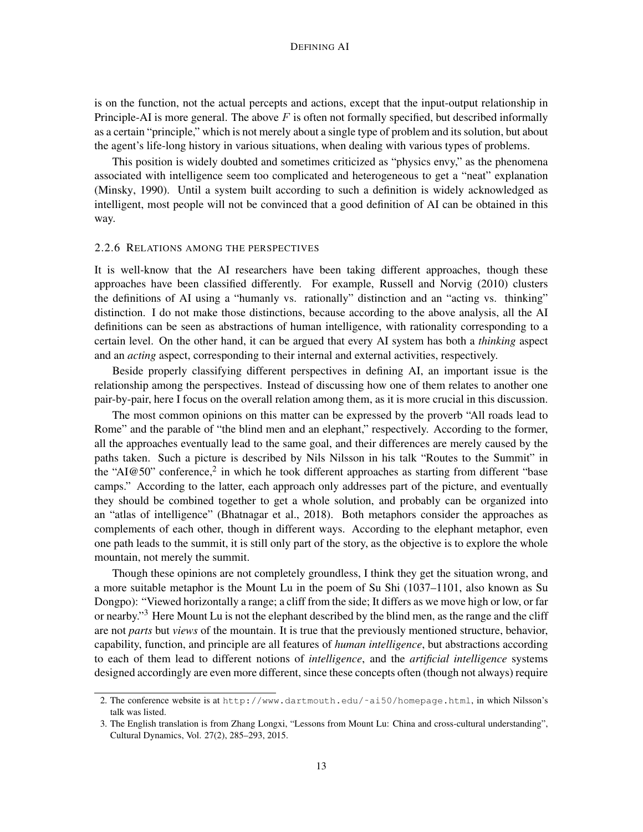is on the function, not the actual percepts and actions, except that the input-output relationship in Principle-AI is more general. The above  $F$  is often not formally specified, but described informally as a certain "principle," which is not merely about a single type of problem and its solution, but about the agent's life-long history in various situations, when dealing with various types of problems.

This position is widely doubted and sometimes criticized as "physics envy," as the phenomena associated with intelligence seem too complicated and heterogeneous to get a "neat" explanation (Minsky, 1990). Until a system built according to such a definition is widely acknowledged as intelligent, most people will not be convinced that a good definition of AI can be obtained in this way.

## 2.2.6 RELATIONS AMONG THE PERSPECTIVES

It is well-know that the AI researchers have been taking different approaches, though these approaches have been classified differently. For example, Russell and Norvig (2010) clusters the definitions of AI using a "humanly vs. rationally" distinction and an "acting vs. thinking" distinction. I do not make those distinctions, because according to the above analysis, all the AI definitions can be seen as abstractions of human intelligence, with rationality corresponding to a certain level. On the other hand, it can be argued that every AI system has both a *thinking* aspect and an *acting* aspect, corresponding to their internal and external activities, respectively.

Beside properly classifying different perspectives in defining AI, an important issue is the relationship among the perspectives. Instead of discussing how one of them relates to another one pair-by-pair, here I focus on the overall relation among them, as it is more crucial in this discussion.

The most common opinions on this matter can be expressed by the proverb "All roads lead to Rome" and the parable of "the blind men and an elephant," respectively. According to the former, all the approaches eventually lead to the same goal, and their differences are merely caused by the paths taken. Such a picture is described by Nils Nilsson in his talk "Routes to the Summit" in the "AI@50" conference,<sup>2</sup> in which he took different approaches as starting from different "base camps." According to the latter, each approach only addresses part of the picture, and eventually they should be combined together to get a whole solution, and probably can be organized into an "atlas of intelligence" (Bhatnagar et al., 2018). Both metaphors consider the approaches as complements of each other, though in different ways. According to the elephant metaphor, even one path leads to the summit, it is still only part of the story, as the objective is to explore the whole mountain, not merely the summit.

Though these opinions are not completely groundless, I think they get the situation wrong, and a more suitable metaphor is the Mount Lu in the poem of Su Shi (1037–1101, also known as Su Dongpo): "Viewed horizontally a range; a cliff from the side; It differs as we move high or low, or far or nearby."<sup>3</sup> Here Mount Lu is not the elephant described by the blind men, as the range and the cliff are not *parts* but *views* of the mountain. It is true that the previously mentioned structure, behavior, capability, function, and principle are all features of *human intelligence*, but abstractions according to each of them lead to different notions of *intelligence*, and the *artificial intelligence* systems designed accordingly are even more different, since these concepts often (though not always) require

<sup>2.</sup> The conference website is at http://www.dartmouth.edu/˜ai50/homepage.html, in which Nilsson's talk was listed.

<sup>3.</sup> The English translation is from Zhang Longxi, "Lessons from Mount Lu: China and cross-cultural understanding", Cultural Dynamics, Vol. 27(2), 285–293, 2015.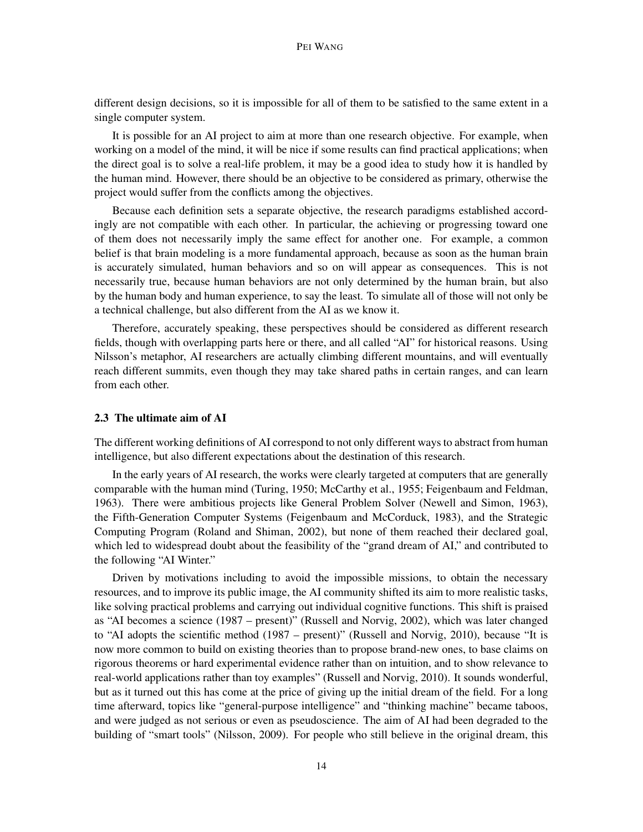different design decisions, so it is impossible for all of them to be satisfied to the same extent in a single computer system.

It is possible for an AI project to aim at more than one research objective. For example, when working on a model of the mind, it will be nice if some results can find practical applications; when the direct goal is to solve a real-life problem, it may be a good idea to study how it is handled by the human mind. However, there should be an objective to be considered as primary, otherwise the project would suffer from the conflicts among the objectives.

Because each definition sets a separate objective, the research paradigms established accordingly are not compatible with each other. In particular, the achieving or progressing toward one of them does not necessarily imply the same effect for another one. For example, a common belief is that brain modeling is a more fundamental approach, because as soon as the human brain is accurately simulated, human behaviors and so on will appear as consequences. This is not necessarily true, because human behaviors are not only determined by the human brain, but also by the human body and human experience, to say the least. To simulate all of those will not only be a technical challenge, but also different from the AI as we know it.

Therefore, accurately speaking, these perspectives should be considered as different research fields, though with overlapping parts here or there, and all called "AI" for historical reasons. Using Nilsson's metaphor, AI researchers are actually climbing different mountains, and will eventually reach different summits, even though they may take shared paths in certain ranges, and can learn from each other.

#### 2.3 The ultimate aim of AI

The different working definitions of AI correspond to not only different ways to abstract from human intelligence, but also different expectations about the destination of this research.

In the early years of AI research, the works were clearly targeted at computers that are generally comparable with the human mind (Turing, 1950; McCarthy et al., 1955; Feigenbaum and Feldman, 1963). There were ambitious projects like General Problem Solver (Newell and Simon, 1963), the Fifth-Generation Computer Systems (Feigenbaum and McCorduck, 1983), and the Strategic Computing Program (Roland and Shiman, 2002), but none of them reached their declared goal, which led to widespread doubt about the feasibility of the "grand dream of AI," and contributed to the following "AI Winter."

Driven by motivations including to avoid the impossible missions, to obtain the necessary resources, and to improve its public image, the AI community shifted its aim to more realistic tasks, like solving practical problems and carrying out individual cognitive functions. This shift is praised as "AI becomes a science (1987 – present)" (Russell and Norvig, 2002), which was later changed to "AI adopts the scientific method (1987 – present)" (Russell and Norvig, 2010), because "It is now more common to build on existing theories than to propose brand-new ones, to base claims on rigorous theorems or hard experimental evidence rather than on intuition, and to show relevance to real-world applications rather than toy examples" (Russell and Norvig, 2010). It sounds wonderful, but as it turned out this has come at the price of giving up the initial dream of the field. For a long time afterward, topics like "general-purpose intelligence" and "thinking machine" became taboos, and were judged as not serious or even as pseudoscience. The aim of AI had been degraded to the building of "smart tools" (Nilsson, 2009). For people who still believe in the original dream, this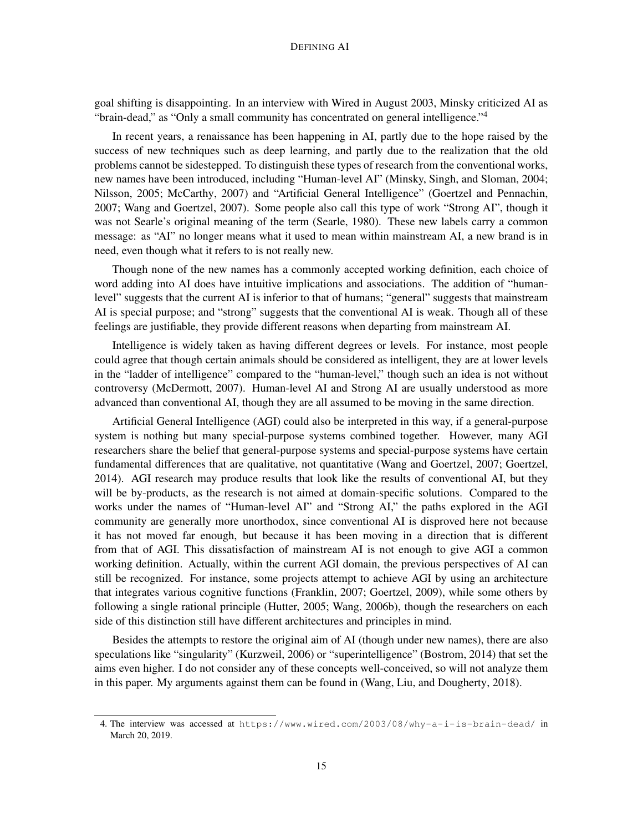goal shifting is disappointing. In an interview with Wired in August 2003, Minsky criticized AI as "brain-dead," as "Only a small community has concentrated on general intelligence."<sup>4</sup>

In recent years, a renaissance has been happening in AI, partly due to the hope raised by the success of new techniques such as deep learning, and partly due to the realization that the old problems cannot be sidestepped. To distinguish these types of research from the conventional works, new names have been introduced, including "Human-level AI" (Minsky, Singh, and Sloman, 2004; Nilsson, 2005; McCarthy, 2007) and "Artificial General Intelligence" (Goertzel and Pennachin, 2007; Wang and Goertzel, 2007). Some people also call this type of work "Strong AI", though it was not Searle's original meaning of the term (Searle, 1980). These new labels carry a common message: as "AI" no longer means what it used to mean within mainstream AI, a new brand is in need, even though what it refers to is not really new.

Though none of the new names has a commonly accepted working definition, each choice of word adding into AI does have intuitive implications and associations. The addition of "humanlevel" suggests that the current AI is inferior to that of humans; "general" suggests that mainstream AI is special purpose; and "strong" suggests that the conventional AI is weak. Though all of these feelings are justifiable, they provide different reasons when departing from mainstream AI.

Intelligence is widely taken as having different degrees or levels. For instance, most people could agree that though certain animals should be considered as intelligent, they are at lower levels in the "ladder of intelligence" compared to the "human-level," though such an idea is not without controversy (McDermott, 2007). Human-level AI and Strong AI are usually understood as more advanced than conventional AI, though they are all assumed to be moving in the same direction.

Artificial General Intelligence (AGI) could also be interpreted in this way, if a general-purpose system is nothing but many special-purpose systems combined together. However, many AGI researchers share the belief that general-purpose systems and special-purpose systems have certain fundamental differences that are qualitative, not quantitative (Wang and Goertzel, 2007; Goertzel, 2014). AGI research may produce results that look like the results of conventional AI, but they will be by-products, as the research is not aimed at domain-specific solutions. Compared to the works under the names of "Human-level AI" and "Strong AI," the paths explored in the AGI community are generally more unorthodox, since conventional AI is disproved here not because it has not moved far enough, but because it has been moving in a direction that is different from that of AGI. This dissatisfaction of mainstream AI is not enough to give AGI a common working definition. Actually, within the current AGI domain, the previous perspectives of AI can still be recognized. For instance, some projects attempt to achieve AGI by using an architecture that integrates various cognitive functions (Franklin, 2007; Goertzel, 2009), while some others by following a single rational principle (Hutter, 2005; Wang, 2006b), though the researchers on each side of this distinction still have different architectures and principles in mind.

Besides the attempts to restore the original aim of AI (though under new names), there are also speculations like "singularity" (Kurzweil, 2006) or "superintelligence" (Bostrom, 2014) that set the aims even higher. I do not consider any of these concepts well-conceived, so will not analyze them in this paper. My arguments against them can be found in (Wang, Liu, and Dougherty, 2018).

<sup>4.</sup> The interview was accessed at https://www.wired.com/2003/08/why-a-i-is-brain-dead/ in March 20, 2019.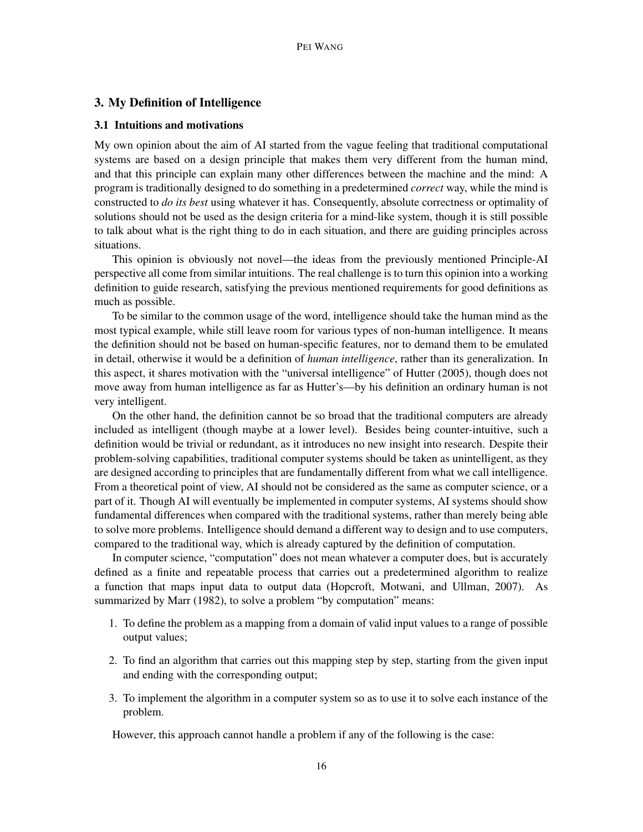## 3. My Definition of Intelligence

#### 3.1 Intuitions and motivations

My own opinion about the aim of AI started from the vague feeling that traditional computational systems are based on a design principle that makes them very different from the human mind, and that this principle can explain many other differences between the machine and the mind: A program is traditionally designed to do something in a predetermined *correct* way, while the mind is constructed to *do its best* using whatever it has. Consequently, absolute correctness or optimality of solutions should not be used as the design criteria for a mind-like system, though it is still possible to talk about what is the right thing to do in each situation, and there are guiding principles across situations.

This opinion is obviously not novel—the ideas from the previously mentioned Principle-AI perspective all come from similar intuitions. The real challenge is to turn this opinion into a working definition to guide research, satisfying the previous mentioned requirements for good definitions as much as possible.

To be similar to the common usage of the word, intelligence should take the human mind as the most typical example, while still leave room for various types of non-human intelligence. It means the definition should not be based on human-specific features, nor to demand them to be emulated in detail, otherwise it would be a definition of *human intelligence*, rather than its generalization. In this aspect, it shares motivation with the "universal intelligence" of Hutter (2005), though does not move away from human intelligence as far as Hutter's—by his definition an ordinary human is not very intelligent.

On the other hand, the definition cannot be so broad that the traditional computers are already included as intelligent (though maybe at a lower level). Besides being counter-intuitive, such a definition would be trivial or redundant, as it introduces no new insight into research. Despite their problem-solving capabilities, traditional computer systems should be taken as unintelligent, as they are designed according to principles that are fundamentally different from what we call intelligence. From a theoretical point of view, AI should not be considered as the same as computer science, or a part of it. Though AI will eventually be implemented in computer systems, AI systems should show fundamental differences when compared with the traditional systems, rather than merely being able to solve more problems. Intelligence should demand a different way to design and to use computers, compared to the traditional way, which is already captured by the definition of computation.

In computer science, "computation" does not mean whatever a computer does, but is accurately defined as a finite and repeatable process that carries out a predetermined algorithm to realize a function that maps input data to output data (Hopcroft, Motwani, and Ullman, 2007). As summarized by Marr (1982), to solve a problem "by computation" means:

- 1. To define the problem as a mapping from a domain of valid input values to a range of possible output values;
- 2. To find an algorithm that carries out this mapping step by step, starting from the given input and ending with the corresponding output;
- 3. To implement the algorithm in a computer system so as to use it to solve each instance of the problem.

However, this approach cannot handle a problem if any of the following is the case: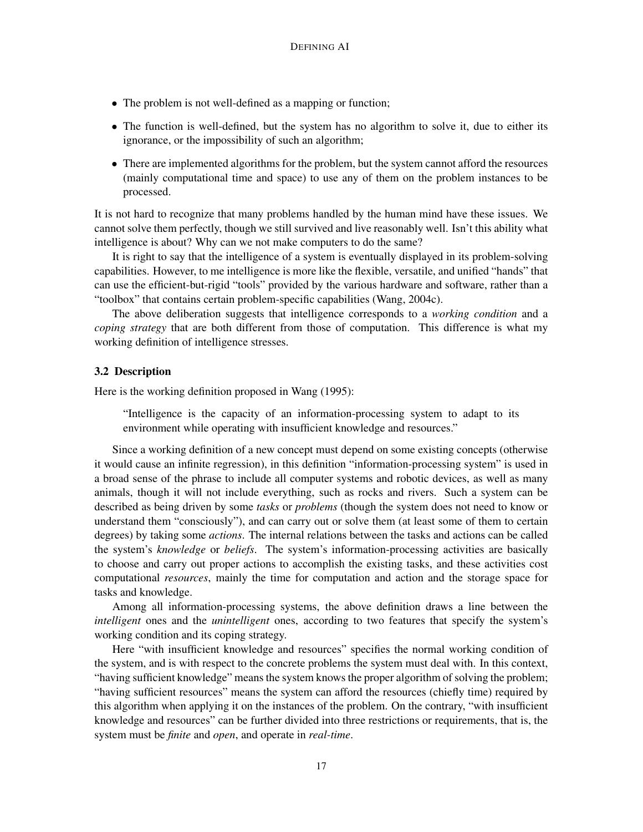- The problem is not well-defined as a mapping or function;
- The function is well-defined, but the system has no algorithm to solve it, due to either its ignorance, or the impossibility of such an algorithm;
- There are implemented algorithms for the problem, but the system cannot afford the resources (mainly computational time and space) to use any of them on the problem instances to be processed.

It is not hard to recognize that many problems handled by the human mind have these issues. We cannot solve them perfectly, though we still survived and live reasonably well. Isn't this ability what intelligence is about? Why can we not make computers to do the same?

It is right to say that the intelligence of a system is eventually displayed in its problem-solving capabilities. However, to me intelligence is more like the flexible, versatile, and unified "hands" that can use the efficient-but-rigid "tools" provided by the various hardware and software, rather than a "toolbox" that contains certain problem-specific capabilities (Wang, 2004c).

The above deliberation suggests that intelligence corresponds to a *working condition* and a *coping strategy* that are both different from those of computation. This difference is what my working definition of intelligence stresses.

## 3.2 Description

Here is the working definition proposed in Wang (1995):

"Intelligence is the capacity of an information-processing system to adapt to its environment while operating with insufficient knowledge and resources."

Since a working definition of a new concept must depend on some existing concepts (otherwise it would cause an infinite regression), in this definition "information-processing system" is used in a broad sense of the phrase to include all computer systems and robotic devices, as well as many animals, though it will not include everything, such as rocks and rivers. Such a system can be described as being driven by some *tasks* or *problems* (though the system does not need to know or understand them "consciously"), and can carry out or solve them (at least some of them to certain degrees) by taking some *actions*. The internal relations between the tasks and actions can be called the system's *knowledge* or *beliefs*. The system's information-processing activities are basically to choose and carry out proper actions to accomplish the existing tasks, and these activities cost computational *resources*, mainly the time for computation and action and the storage space for tasks and knowledge.

Among all information-processing systems, the above definition draws a line between the *intelligent* ones and the *unintelligent* ones, according to two features that specify the system's working condition and its coping strategy.

Here "with insufficient knowledge and resources" specifies the normal working condition of the system, and is with respect to the concrete problems the system must deal with. In this context, "having sufficient knowledge" means the system knows the proper algorithm of solving the problem; "having sufficient resources" means the system can afford the resources (chiefly time) required by this algorithm when applying it on the instances of the problem. On the contrary, "with insufficient knowledge and resources" can be further divided into three restrictions or requirements, that is, the system must be *finite* and *open*, and operate in *real-time*.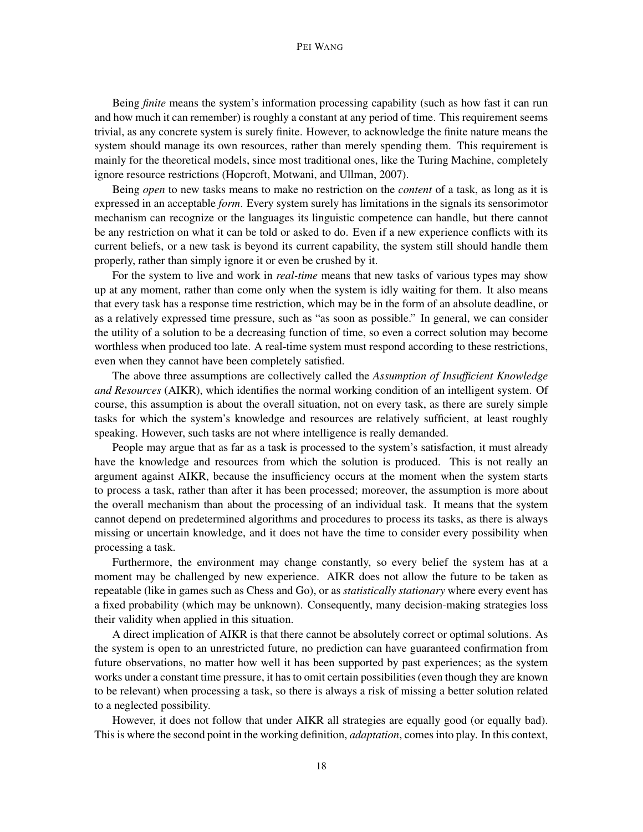#### PEI WANG

Being *finite* means the system's information processing capability (such as how fast it can run and how much it can remember) is roughly a constant at any period of time. This requirement seems trivial, as any concrete system is surely finite. However, to acknowledge the finite nature means the system should manage its own resources, rather than merely spending them. This requirement is mainly for the theoretical models, since most traditional ones, like the Turing Machine, completely ignore resource restrictions (Hopcroft, Motwani, and Ullman, 2007).

Being *open* to new tasks means to make no restriction on the *content* of a task, as long as it is expressed in an acceptable *form*. Every system surely has limitations in the signals its sensorimotor mechanism can recognize or the languages its linguistic competence can handle, but there cannot be any restriction on what it can be told or asked to do. Even if a new experience conflicts with its current beliefs, or a new task is beyond its current capability, the system still should handle them properly, rather than simply ignore it or even be crushed by it.

For the system to live and work in *real-time* means that new tasks of various types may show up at any moment, rather than come only when the system is idly waiting for them. It also means that every task has a response time restriction, which may be in the form of an absolute deadline, or as a relatively expressed time pressure, such as "as soon as possible." In general, we can consider the utility of a solution to be a decreasing function of time, so even a correct solution may become worthless when produced too late. A real-time system must respond according to these restrictions, even when they cannot have been completely satisfied.

The above three assumptions are collectively called the *Assumption of Insufficient Knowledge and Resources* (AIKR), which identifies the normal working condition of an intelligent system. Of course, this assumption is about the overall situation, not on every task, as there are surely simple tasks for which the system's knowledge and resources are relatively sufficient, at least roughly speaking. However, such tasks are not where intelligence is really demanded.

People may argue that as far as a task is processed to the system's satisfaction, it must already have the knowledge and resources from which the solution is produced. This is not really an argument against AIKR, because the insufficiency occurs at the moment when the system starts to process a task, rather than after it has been processed; moreover, the assumption is more about the overall mechanism than about the processing of an individual task. It means that the system cannot depend on predetermined algorithms and procedures to process its tasks, as there is always missing or uncertain knowledge, and it does not have the time to consider every possibility when processing a task.

Furthermore, the environment may change constantly, so every belief the system has at a moment may be challenged by new experience. AIKR does not allow the future to be taken as repeatable (like in games such as Chess and Go), or as *statistically stationary* where every event has a fixed probability (which may be unknown). Consequently, many decision-making strategies loss their validity when applied in this situation.

A direct implication of AIKR is that there cannot be absolutely correct or optimal solutions. As the system is open to an unrestricted future, no prediction can have guaranteed confirmation from future observations, no matter how well it has been supported by past experiences; as the system works under a constant time pressure, it has to omit certain possibilities (even though they are known to be relevant) when processing a task, so there is always a risk of missing a better solution related to a neglected possibility.

However, it does not follow that under AIKR all strategies are equally good (or equally bad). This is where the second point in the working definition, *adaptation*, comes into play. In this context,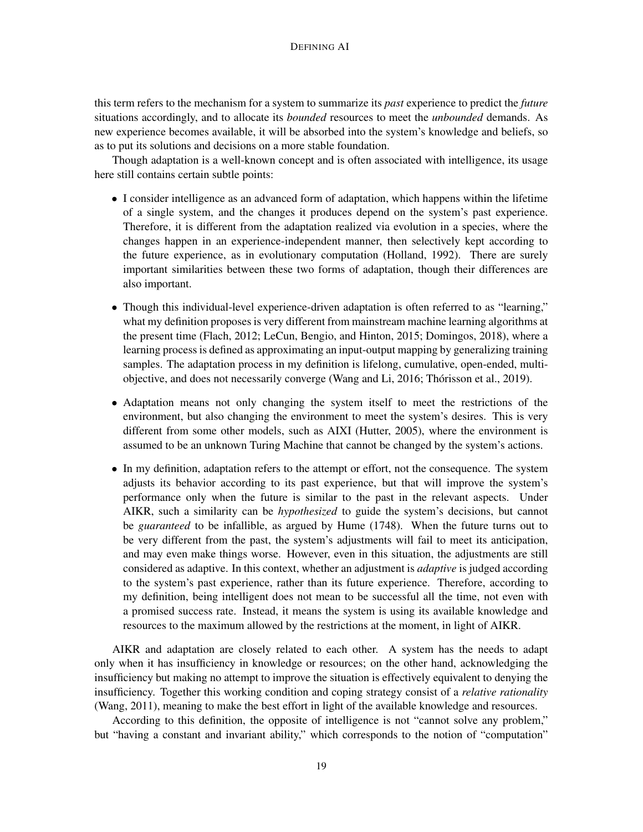this term refers to the mechanism for a system to summarize its *past* experience to predict the *future* situations accordingly, and to allocate its *bounded* resources to meet the *unbounded* demands. As new experience becomes available, it will be absorbed into the system's knowledge and beliefs, so as to put its solutions and decisions on a more stable foundation.

Though adaptation is a well-known concept and is often associated with intelligence, its usage here still contains certain subtle points:

- I consider intelligence as an advanced form of adaptation, which happens within the lifetime of a single system, and the changes it produces depend on the system's past experience. Therefore, it is different from the adaptation realized via evolution in a species, where the changes happen in an experience-independent manner, then selectively kept according to the future experience, as in evolutionary computation (Holland, 1992). There are surely important similarities between these two forms of adaptation, though their differences are also important.
- Though this individual-level experience-driven adaptation is often referred to as "learning," what my definition proposes is very different from mainstream machine learning algorithms at the present time (Flach, 2012; LeCun, Bengio, and Hinton, 2015; Domingos, 2018), where a learning process is defined as approximating an input-output mapping by generalizing training samples. The adaptation process in my definition is lifelong, cumulative, open-ended, multiobjective, and does not necessarily converge (Wang and Li, 2016; Thorisson et al., 2019). ´
- Adaptation means not only changing the system itself to meet the restrictions of the environment, but also changing the environment to meet the system's desires. This is very different from some other models, such as AIXI (Hutter, 2005), where the environment is assumed to be an unknown Turing Machine that cannot be changed by the system's actions.
- In my definition, adaptation refers to the attempt or effort, not the consequence. The system adjusts its behavior according to its past experience, but that will improve the system's performance only when the future is similar to the past in the relevant aspects. Under AIKR, such a similarity can be *hypothesized* to guide the system's decisions, but cannot be *guaranteed* to be infallible, as argued by Hume (1748). When the future turns out to be very different from the past, the system's adjustments will fail to meet its anticipation, and may even make things worse. However, even in this situation, the adjustments are still considered as adaptive. In this context, whether an adjustment is *adaptive* is judged according to the system's past experience, rather than its future experience. Therefore, according to my definition, being intelligent does not mean to be successful all the time, not even with a promised success rate. Instead, it means the system is using its available knowledge and resources to the maximum allowed by the restrictions at the moment, in light of AIKR.

AIKR and adaptation are closely related to each other. A system has the needs to adapt only when it has insufficiency in knowledge or resources; on the other hand, acknowledging the insufficiency but making no attempt to improve the situation is effectively equivalent to denying the insufficiency. Together this working condition and coping strategy consist of a *relative rationality* (Wang, 2011), meaning to make the best effort in light of the available knowledge and resources.

According to this definition, the opposite of intelligence is not "cannot solve any problem," but "having a constant and invariant ability," which corresponds to the notion of "computation"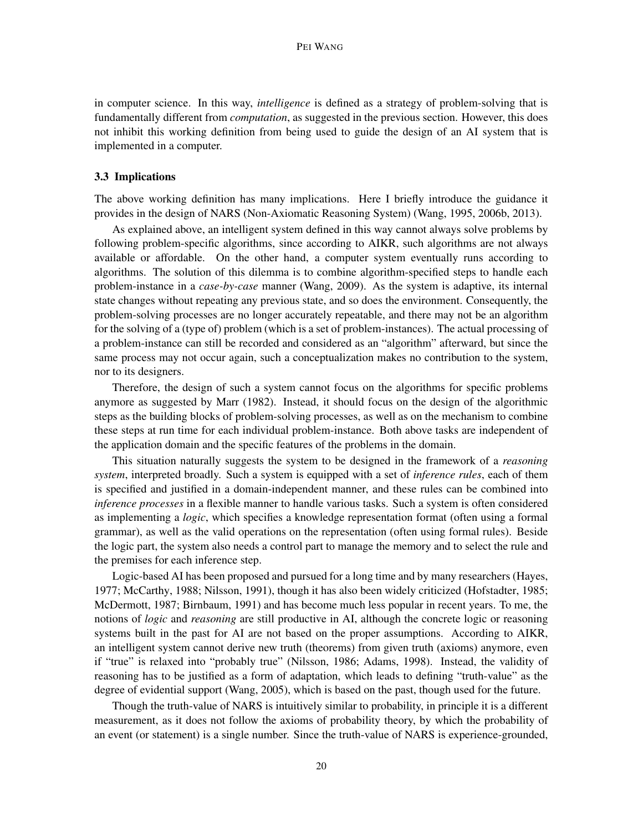in computer science. In this way, *intelligence* is defined as a strategy of problem-solving that is fundamentally different from *computation*, as suggested in the previous section. However, this does not inhibit this working definition from being used to guide the design of an AI system that is implemented in a computer.

#### 3.3 Implications

The above working definition has many implications. Here I briefly introduce the guidance it provides in the design of NARS (Non-Axiomatic Reasoning System) (Wang, 1995, 2006b, 2013).

As explained above, an intelligent system defined in this way cannot always solve problems by following problem-specific algorithms, since according to AIKR, such algorithms are not always available or affordable. On the other hand, a computer system eventually runs according to algorithms. The solution of this dilemma is to combine algorithm-specified steps to handle each problem-instance in a *case-by-case* manner (Wang, 2009). As the system is adaptive, its internal state changes without repeating any previous state, and so does the environment. Consequently, the problem-solving processes are no longer accurately repeatable, and there may not be an algorithm for the solving of a (type of) problem (which is a set of problem-instances). The actual processing of a problem-instance can still be recorded and considered as an "algorithm" afterward, but since the same process may not occur again, such a conceptualization makes no contribution to the system, nor to its designers.

Therefore, the design of such a system cannot focus on the algorithms for specific problems anymore as suggested by Marr (1982). Instead, it should focus on the design of the algorithmic steps as the building blocks of problem-solving processes, as well as on the mechanism to combine these steps at run time for each individual problem-instance. Both above tasks are independent of the application domain and the specific features of the problems in the domain.

This situation naturally suggests the system to be designed in the framework of a *reasoning system*, interpreted broadly. Such a system is equipped with a set of *inference rules*, each of them is specified and justified in a domain-independent manner, and these rules can be combined into *inference processes* in a flexible manner to handle various tasks. Such a system is often considered as implementing a *logic*, which specifies a knowledge representation format (often using a formal grammar), as well as the valid operations on the representation (often using formal rules). Beside the logic part, the system also needs a control part to manage the memory and to select the rule and the premises for each inference step.

Logic-based AI has been proposed and pursued for a long time and by many researchers (Hayes, 1977; McCarthy, 1988; Nilsson, 1991), though it has also been widely criticized (Hofstadter, 1985; McDermott, 1987; Birnbaum, 1991) and has become much less popular in recent years. To me, the notions of *logic* and *reasoning* are still productive in AI, although the concrete logic or reasoning systems built in the past for AI are not based on the proper assumptions. According to AIKR, an intelligent system cannot derive new truth (theorems) from given truth (axioms) anymore, even if "true" is relaxed into "probably true" (Nilsson, 1986; Adams, 1998). Instead, the validity of reasoning has to be justified as a form of adaptation, which leads to defining "truth-value" as the degree of evidential support (Wang, 2005), which is based on the past, though used for the future.

Though the truth-value of NARS is intuitively similar to probability, in principle it is a different measurement, as it does not follow the axioms of probability theory, by which the probability of an event (or statement) is a single number. Since the truth-value of NARS is experience-grounded,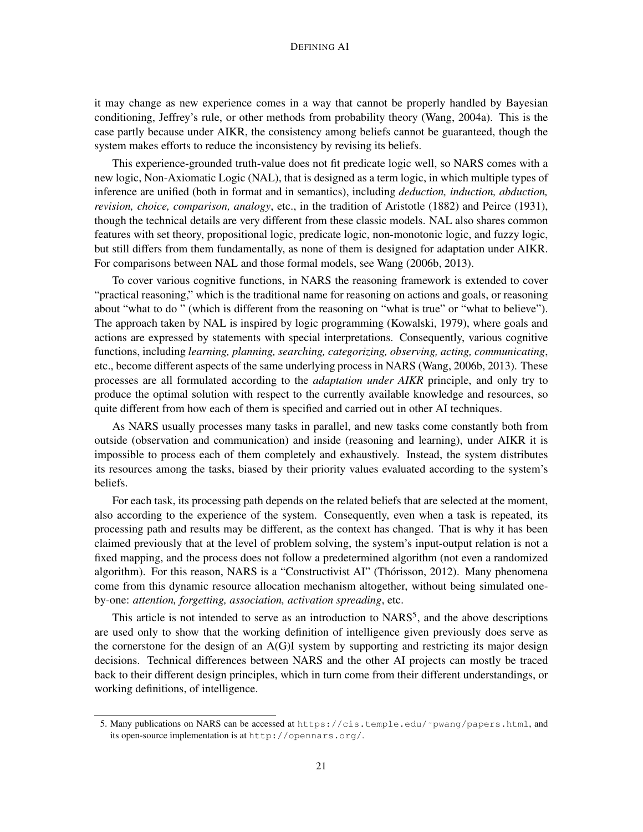it may change as new experience comes in a way that cannot be properly handled by Bayesian conditioning, Jeffrey's rule, or other methods from probability theory (Wang, 2004a). This is the case partly because under AIKR, the consistency among beliefs cannot be guaranteed, though the system makes efforts to reduce the inconsistency by revising its beliefs.

This experience-grounded truth-value does not fit predicate logic well, so NARS comes with a new logic, Non-Axiomatic Logic (NAL), that is designed as a term logic, in which multiple types of inference are unified (both in format and in semantics), including *deduction, induction, abduction, revision, choice, comparison, analogy*, etc., in the tradition of Aristotle (1882) and Peirce (1931), though the technical details are very different from these classic models. NAL also shares common features with set theory, propositional logic, predicate logic, non-monotonic logic, and fuzzy logic, but still differs from them fundamentally, as none of them is designed for adaptation under AIKR. For comparisons between NAL and those formal models, see Wang (2006b, 2013).

To cover various cognitive functions, in NARS the reasoning framework is extended to cover "practical reasoning," which is the traditional name for reasoning on actions and goals, or reasoning about "what to do " (which is different from the reasoning on "what is true" or "what to believe"). The approach taken by NAL is inspired by logic programming (Kowalski, 1979), where goals and actions are expressed by statements with special interpretations. Consequently, various cognitive functions, including *learning, planning, searching, categorizing, observing, acting, communicating*, etc., become different aspects of the same underlying process in NARS (Wang, 2006b, 2013). These processes are all formulated according to the *adaptation under AIKR* principle, and only try to produce the optimal solution with respect to the currently available knowledge and resources, so quite different from how each of them is specified and carried out in other AI techniques.

As NARS usually processes many tasks in parallel, and new tasks come constantly both from outside (observation and communication) and inside (reasoning and learning), under AIKR it is impossible to process each of them completely and exhaustively. Instead, the system distributes its resources among the tasks, biased by their priority values evaluated according to the system's beliefs.

For each task, its processing path depends on the related beliefs that are selected at the moment, also according to the experience of the system. Consequently, even when a task is repeated, its processing path and results may be different, as the context has changed. That is why it has been claimed previously that at the level of problem solving, the system's input-output relation is not a fixed mapping, and the process does not follow a predetermined algorithm (not even a randomized algorithm). For this reason, NARS is a "Constructivist AI" (Thórisson, 2012). Many phenomena come from this dynamic resource allocation mechanism altogether, without being simulated oneby-one: *attention, forgetting, association, activation spreading*, etc.

This article is not intended to serve as an introduction to  $NARS<sup>5</sup>$ , and the above descriptions are used only to show that the working definition of intelligence given previously does serve as the cornerstone for the design of an A(G)I system by supporting and restricting its major design decisions. Technical differences between NARS and the other AI projects can mostly be traced back to their different design principles, which in turn come from their different understandings, or working definitions, of intelligence.

<sup>5.</sup> Many publications on NARS can be accessed at https://cis.temple.edu/˜pwang/papers.html, and its open-source implementation is at http://opennars.org/.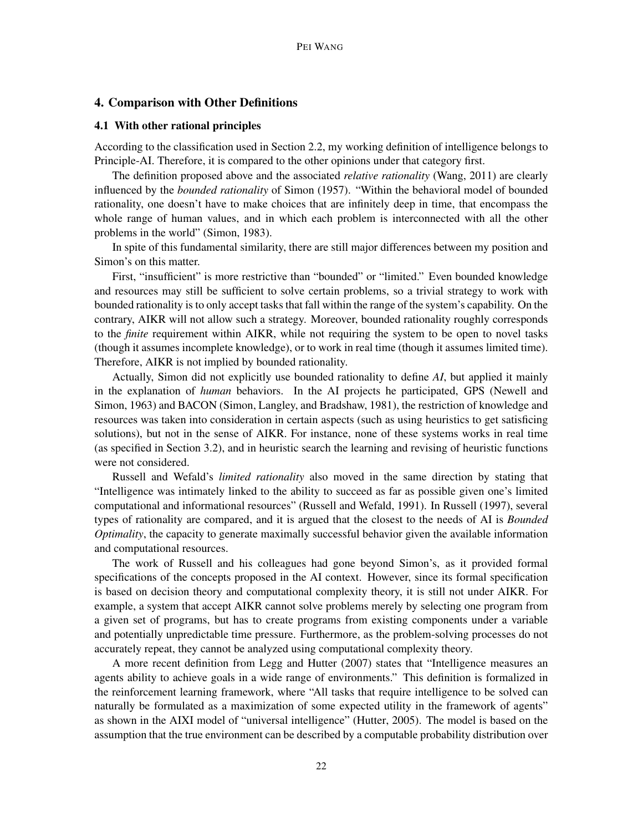## 4. Comparison with Other Definitions

#### 4.1 With other rational principles

According to the classification used in Section 2.2, my working definition of intelligence belongs to Principle-AI. Therefore, it is compared to the other opinions under that category first.

The definition proposed above and the associated *relative rationality* (Wang, 2011) are clearly influenced by the *bounded rationality* of Simon (1957). "Within the behavioral model of bounded rationality, one doesn't have to make choices that are infinitely deep in time, that encompass the whole range of human values, and in which each problem is interconnected with all the other problems in the world" (Simon, 1983).

In spite of this fundamental similarity, there are still major differences between my position and Simon's on this matter.

First, "insufficient" is more restrictive than "bounded" or "limited." Even bounded knowledge and resources may still be sufficient to solve certain problems, so a trivial strategy to work with bounded rationality is to only accept tasks that fall within the range of the system's capability. On the contrary, AIKR will not allow such a strategy. Moreover, bounded rationality roughly corresponds to the *finite* requirement within AIKR, while not requiring the system to be open to novel tasks (though it assumes incomplete knowledge), or to work in real time (though it assumes limited time). Therefore, AIKR is not implied by bounded rationality.

Actually, Simon did not explicitly use bounded rationality to define *AI*, but applied it mainly in the explanation of *human* behaviors. In the AI projects he participated, GPS (Newell and Simon, 1963) and BACON (Simon, Langley, and Bradshaw, 1981), the restriction of knowledge and resources was taken into consideration in certain aspects (such as using heuristics to get satisficing solutions), but not in the sense of AIKR. For instance, none of these systems works in real time (as specified in Section 3.2), and in heuristic search the learning and revising of heuristic functions were not considered.

Russell and Wefald's *limited rationality* also moved in the same direction by stating that "Intelligence was intimately linked to the ability to succeed as far as possible given one's limited computational and informational resources" (Russell and Wefald, 1991). In Russell (1997), several types of rationality are compared, and it is argued that the closest to the needs of AI is *Bounded Optimality*, the capacity to generate maximally successful behavior given the available information and computational resources.

The work of Russell and his colleagues had gone beyond Simon's, as it provided formal specifications of the concepts proposed in the AI context. However, since its formal specification is based on decision theory and computational complexity theory, it is still not under AIKR. For example, a system that accept AIKR cannot solve problems merely by selecting one program from a given set of programs, but has to create programs from existing components under a variable and potentially unpredictable time pressure. Furthermore, as the problem-solving processes do not accurately repeat, they cannot be analyzed using computational complexity theory.

A more recent definition from Legg and Hutter (2007) states that "Intelligence measures an agents ability to achieve goals in a wide range of environments." This definition is formalized in the reinforcement learning framework, where "All tasks that require intelligence to be solved can naturally be formulated as a maximization of some expected utility in the framework of agents" as shown in the AIXI model of "universal intelligence" (Hutter, 2005). The model is based on the assumption that the true environment can be described by a computable probability distribution over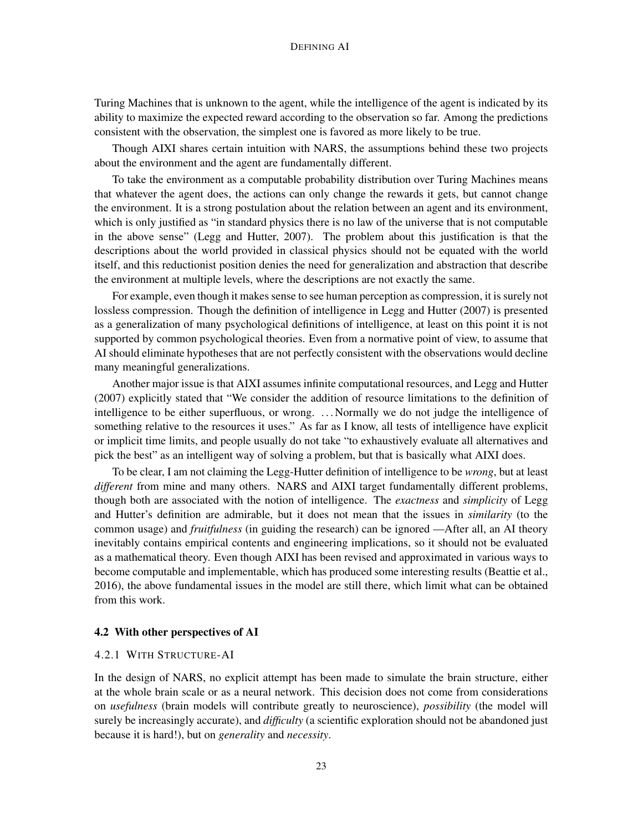Turing Machines that is unknown to the agent, while the intelligence of the agent is indicated by its ability to maximize the expected reward according to the observation so far. Among the predictions consistent with the observation, the simplest one is favored as more likely to be true.

Though AIXI shares certain intuition with NARS, the assumptions behind these two projects about the environment and the agent are fundamentally different.

To take the environment as a computable probability distribution over Turing Machines means that whatever the agent does, the actions can only change the rewards it gets, but cannot change the environment. It is a strong postulation about the relation between an agent and its environment, which is only justified as "in standard physics there is no law of the universe that is not computable in the above sense" (Legg and Hutter, 2007). The problem about this justification is that the descriptions about the world provided in classical physics should not be equated with the world itself, and this reductionist position denies the need for generalization and abstraction that describe the environment at multiple levels, where the descriptions are not exactly the same.

For example, even though it makes sense to see human perception as compression, it is surely not lossless compression. Though the definition of intelligence in Legg and Hutter (2007) is presented as a generalization of many psychological definitions of intelligence, at least on this point it is not supported by common psychological theories. Even from a normative point of view, to assume that AI should eliminate hypotheses that are not perfectly consistent with the observations would decline many meaningful generalizations.

Another major issue is that AIXI assumes infinite computational resources, and Legg and Hutter (2007) explicitly stated that "We consider the addition of resource limitations to the definition of intelligence to be either superfluous, or wrong. . . . Normally we do not judge the intelligence of something relative to the resources it uses." As far as I know, all tests of intelligence have explicit or implicit time limits, and people usually do not take "to exhaustively evaluate all alternatives and pick the best" as an intelligent way of solving a problem, but that is basically what AIXI does.

To be clear, I am not claiming the Legg-Hutter definition of intelligence to be *wrong*, but at least *different* from mine and many others. NARS and AIXI target fundamentally different problems, though both are associated with the notion of intelligence. The *exactness* and *simplicity* of Legg and Hutter's definition are admirable, but it does not mean that the issues in *similarity* (to the common usage) and *fruitfulness* (in guiding the research) can be ignored —After all, an AI theory inevitably contains empirical contents and engineering implications, so it should not be evaluated as a mathematical theory. Even though AIXI has been revised and approximated in various ways to become computable and implementable, which has produced some interesting results (Beattie et al., 2016), the above fundamental issues in the model are still there, which limit what can be obtained from this work.

#### 4.2 With other perspectives of AI

#### 4.2.1 WITH STRUCTURE-AI

In the design of NARS, no explicit attempt has been made to simulate the brain structure, either at the whole brain scale or as a neural network. This decision does not come from considerations on *usefulness* (brain models will contribute greatly to neuroscience), *possibility* (the model will surely be increasingly accurate), and *difficulty* (a scientific exploration should not be abandoned just because it is hard!), but on *generality* and *necessity*.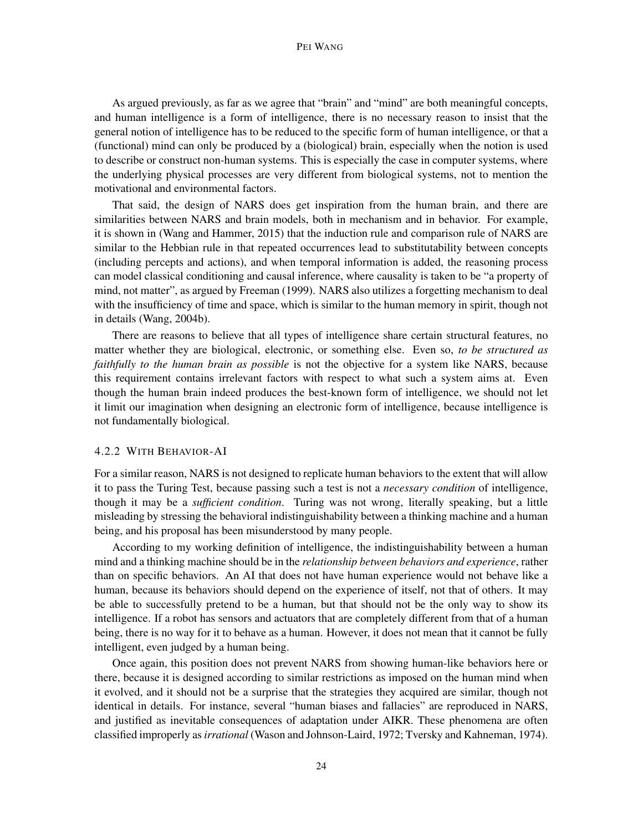#### PEI WANG

As argued previously, as far as we agree that "brain" and "mind" are both meaningful concepts, and human intelligence is a form of intelligence, there is no necessary reason to insist that the general notion of intelligence has to be reduced to the specific form of human intelligence, or that a (functional) mind can only be produced by a (biological) brain, especially when the notion is used to describe or construct non-human systems. This is especially the case in computer systems, where the underlying physical processes are very different from biological systems, not to mention the motivational and environmental factors.

That said, the design of NARS does get inspiration from the human brain, and there are similarities between NARS and brain models, both in mechanism and in behavior. For example, it is shown in (Wang and Hammer, 2015) that the induction rule and comparison rule of NARS are similar to the Hebbian rule in that repeated occurrences lead to substitutability between concepts (including percepts and actions), and when temporal information is added, the reasoning process can model classical conditioning and causal inference, where causality is taken to be "a property of mind, not matter", as argued by Freeman (1999). NARS also utilizes a forgetting mechanism to deal with the insufficiency of time and space, which is similar to the human memory in spirit, though not in details (Wang, 2004b).

There are reasons to believe that all types of intelligence share certain structural features, no matter whether they are biological, electronic, or something else. Even so, *to be structured as faithfully to the human brain as possible* is not the objective for a system like NARS, because this requirement contains irrelevant factors with respect to what such a system aims at. Even though the human brain indeed produces the best-known form of intelligence, we should not let it limit our imagination when designing an electronic form of intelligence, because intelligence is not fundamentally biological.

## 4.2.2 WITH BEHAVIOR-AI

For a similar reason, NARS is not designed to replicate human behaviors to the extent that will allow it to pass the Turing Test, because passing such a test is not a *necessary condition* of intelligence, though it may be a *sufficient condition*. Turing was not wrong, literally speaking, but a little misleading by stressing the behavioral indistinguishability between a thinking machine and a human being, and his proposal has been misunderstood by many people.

According to my working definition of intelligence, the indistinguishability between a human mind and a thinking machine should be in the *relationship between behaviors and experience*, rather than on specific behaviors. An AI that does not have human experience would not behave like a human, because its behaviors should depend on the experience of itself, not that of others. It may be able to successfully pretend to be a human, but that should not be the only way to show its intelligence. If a robot has sensors and actuators that are completely different from that of a human being, there is no way for it to behave as a human. However, it does not mean that it cannot be fully intelligent, even judged by a human being.

Once again, this position does not prevent NARS from showing human-like behaviors here or there, because it is designed according to similar restrictions as imposed on the human mind when it evolved, and it should not be a surprise that the strategies they acquired are similar, though not identical in details. For instance, several "human biases and fallacies" are reproduced in NARS, and justified as inevitable consequences of adaptation under AIKR. These phenomena are often classified improperly as*irrational* (Wason and Johnson-Laird, 1972; Tversky and Kahneman, 1974).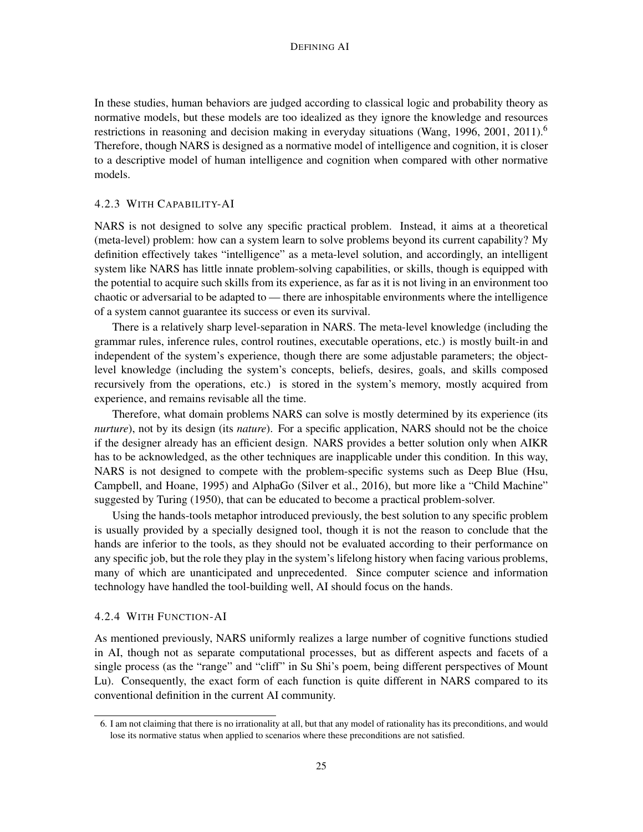In these studies, human behaviors are judged according to classical logic and probability theory as normative models, but these models are too idealized as they ignore the knowledge and resources restrictions in reasoning and decision making in everyday situations (Wang, 1996, 2001, 2011).<sup>6</sup> Therefore, though NARS is designed as a normative model of intelligence and cognition, it is closer to a descriptive model of human intelligence and cognition when compared with other normative models.

## 4.2.3 WITH CAPABILITY-AI

NARS is not designed to solve any specific practical problem. Instead, it aims at a theoretical (meta-level) problem: how can a system learn to solve problems beyond its current capability? My definition effectively takes "intelligence" as a meta-level solution, and accordingly, an intelligent system like NARS has little innate problem-solving capabilities, or skills, though is equipped with the potential to acquire such skills from its experience, as far as it is not living in an environment too chaotic or adversarial to be adapted to — there are inhospitable environments where the intelligence of a system cannot guarantee its success or even its survival.

There is a relatively sharp level-separation in NARS. The meta-level knowledge (including the grammar rules, inference rules, control routines, executable operations, etc.) is mostly built-in and independent of the system's experience, though there are some adjustable parameters; the objectlevel knowledge (including the system's concepts, beliefs, desires, goals, and skills composed recursively from the operations, etc.) is stored in the system's memory, mostly acquired from experience, and remains revisable all the time.

Therefore, what domain problems NARS can solve is mostly determined by its experience (its *nurture*), not by its design (its *nature*). For a specific application, NARS should not be the choice if the designer already has an efficient design. NARS provides a better solution only when AIKR has to be acknowledged, as the other techniques are inapplicable under this condition. In this way, NARS is not designed to compete with the problem-specific systems such as Deep Blue (Hsu, Campbell, and Hoane, 1995) and AlphaGo (Silver et al., 2016), but more like a "Child Machine" suggested by Turing (1950), that can be educated to become a practical problem-solver.

Using the hands-tools metaphor introduced previously, the best solution to any specific problem is usually provided by a specially designed tool, though it is not the reason to conclude that the hands are inferior to the tools, as they should not be evaluated according to their performance on any specific job, but the role they play in the system's lifelong history when facing various problems, many of which are unanticipated and unprecedented. Since computer science and information technology have handled the tool-building well, AI should focus on the hands.

#### 4.2.4 WITH FUNCTION-AI

As mentioned previously, NARS uniformly realizes a large number of cognitive functions studied in AI, though not as separate computational processes, but as different aspects and facets of a single process (as the "range" and "cliff" in Su Shi's poem, being different perspectives of Mount Lu). Consequently, the exact form of each function is quite different in NARS compared to its conventional definition in the current AI community.

<sup>6.</sup> I am not claiming that there is no irrationality at all, but that any model of rationality has its preconditions, and would lose its normative status when applied to scenarios where these preconditions are not satisfied.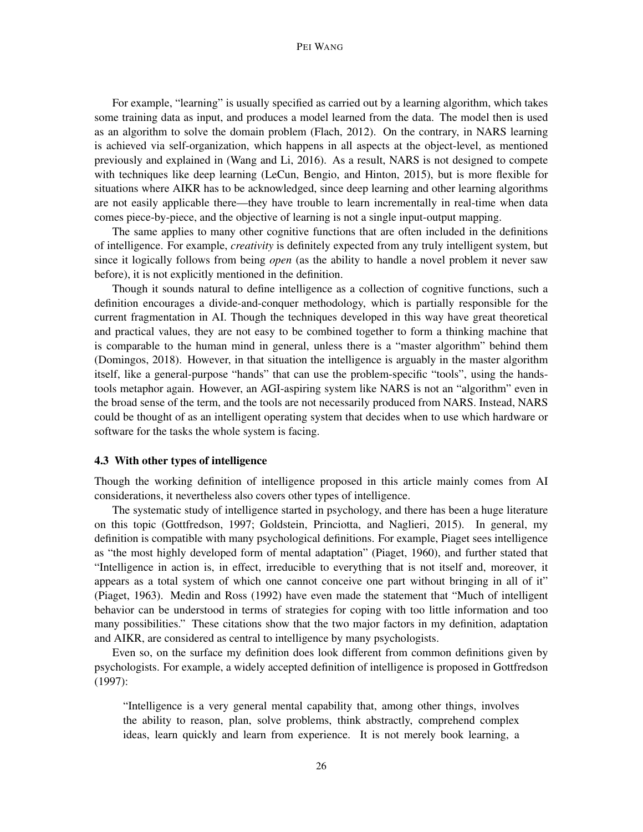For example, "learning" is usually specified as carried out by a learning algorithm, which takes some training data as input, and produces a model learned from the data. The model then is used as an algorithm to solve the domain problem (Flach, 2012). On the contrary, in NARS learning is achieved via self-organization, which happens in all aspects at the object-level, as mentioned previously and explained in (Wang and Li, 2016). As a result, NARS is not designed to compete with techniques like deep learning (LeCun, Bengio, and Hinton, 2015), but is more flexible for situations where AIKR has to be acknowledged, since deep learning and other learning algorithms are not easily applicable there—they have trouble to learn incrementally in real-time when data comes piece-by-piece, and the objective of learning is not a single input-output mapping.

The same applies to many other cognitive functions that are often included in the definitions of intelligence. For example, *creativity* is definitely expected from any truly intelligent system, but since it logically follows from being *open* (as the ability to handle a novel problem it never saw before), it is not explicitly mentioned in the definition.

Though it sounds natural to define intelligence as a collection of cognitive functions, such a definition encourages a divide-and-conquer methodology, which is partially responsible for the current fragmentation in AI. Though the techniques developed in this way have great theoretical and practical values, they are not easy to be combined together to form a thinking machine that is comparable to the human mind in general, unless there is a "master algorithm" behind them (Domingos, 2018). However, in that situation the intelligence is arguably in the master algorithm itself, like a general-purpose "hands" that can use the problem-specific "tools", using the handstools metaphor again. However, an AGI-aspiring system like NARS is not an "algorithm" even in the broad sense of the term, and the tools are not necessarily produced from NARS. Instead, NARS could be thought of as an intelligent operating system that decides when to use which hardware or software for the tasks the whole system is facing.

## 4.3 With other types of intelligence

Though the working definition of intelligence proposed in this article mainly comes from AI considerations, it nevertheless also covers other types of intelligence.

The systematic study of intelligence started in psychology, and there has been a huge literature on this topic (Gottfredson, 1997; Goldstein, Princiotta, and Naglieri, 2015). In general, my definition is compatible with many psychological definitions. For example, Piaget sees intelligence as "the most highly developed form of mental adaptation" (Piaget, 1960), and further stated that "Intelligence in action is, in effect, irreducible to everything that is not itself and, moreover, it appears as a total system of which one cannot conceive one part without bringing in all of it" (Piaget, 1963). Medin and Ross (1992) have even made the statement that "Much of intelligent behavior can be understood in terms of strategies for coping with too little information and too many possibilities." These citations show that the two major factors in my definition, adaptation and AIKR, are considered as central to intelligence by many psychologists.

Even so, on the surface my definition does look different from common definitions given by psychologists. For example, a widely accepted definition of intelligence is proposed in Gottfredson (1997):

"Intelligence is a very general mental capability that, among other things, involves the ability to reason, plan, solve problems, think abstractly, comprehend complex ideas, learn quickly and learn from experience. It is not merely book learning, a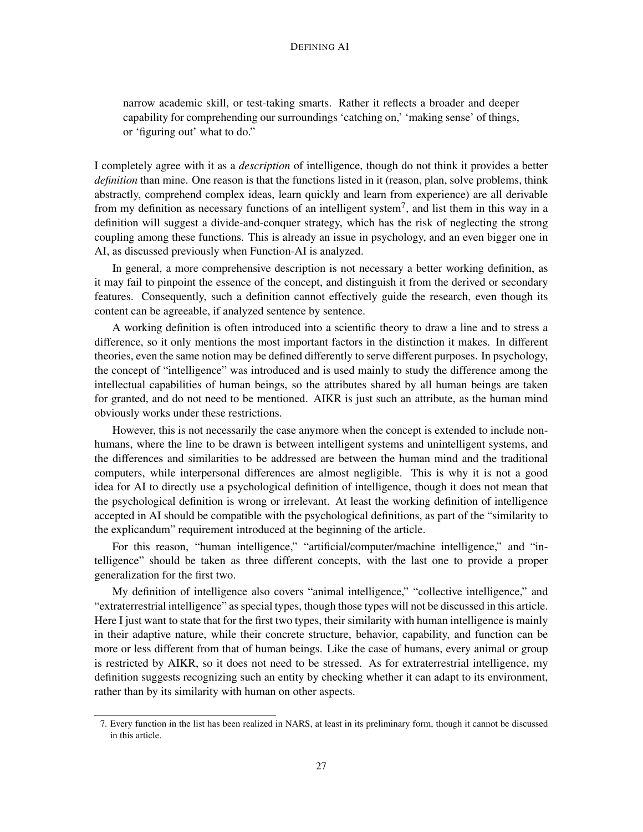narrow academic skill, or test-taking smarts. Rather it reflects a broader and deeper capability for comprehending our surroundings 'catching on,' 'making sense' of things, or 'figuring out' what to do."

I completely agree with it as a *description* of intelligence, though do not think it provides a better *definition* than mine. One reason is that the functions listed in it (reason, plan, solve problems, think abstractly, comprehend complex ideas, learn quickly and learn from experience) are all derivable from my definition as necessary functions of an intelligent system<sup>7</sup>, and list them in this way in a definition will suggest a divide-and-conquer strategy, which has the risk of neglecting the strong coupling among these functions. This is already an issue in psychology, and an even bigger one in AI, as discussed previously when Function-AI is analyzed.

In general, a more comprehensive description is not necessary a better working definition, as it may fail to pinpoint the essence of the concept, and distinguish it from the derived or secondary features. Consequently, such a definition cannot effectively guide the research, even though its content can be agreeable, if analyzed sentence by sentence.

A working definition is often introduced into a scientific theory to draw a line and to stress a difference, so it only mentions the most important factors in the distinction it makes. In different theories, even the same notion may be defined differently to serve different purposes. In psychology, the concept of "intelligence" was introduced and is used mainly to study the difference among the intellectual capabilities of human beings, so the attributes shared by all human beings are taken for granted, and do not need to be mentioned. AIKR is just such an attribute, as the human mind obviously works under these restrictions.

However, this is not necessarily the case anymore when the concept is extended to include nonhumans, where the line to be drawn is between intelligent systems and unintelligent systems, and the differences and similarities to be addressed are between the human mind and the traditional computers, while interpersonal differences are almost negligible. This is why it is not a good idea for AI to directly use a psychological definition of intelligence, though it does not mean that the psychological definition is wrong or irrelevant. At least the working definition of intelligence accepted in AI should be compatible with the psychological definitions, as part of the "similarity to the explicandum" requirement introduced at the beginning of the article.

For this reason, "human intelligence," "artificial/computer/machine intelligence," and "intelligence" should be taken as three different concepts, with the last one to provide a proper generalization for the first two.

My definition of intelligence also covers "animal intelligence," "collective intelligence," and "extraterrestrial intelligence" as special types, though those types will not be discussed in this article. Here I just want to state that for the first two types, their similarity with human intelligence is mainly in their adaptive nature, while their concrete structure, behavior, capability, and function can be more or less different from that of human beings. Like the case of humans, every animal or group is restricted by AIKR, so it does not need to be stressed. As for extraterrestrial intelligence, my definition suggests recognizing such an entity by checking whether it can adapt to its environment, rather than by its similarity with human on other aspects.

<sup>7.</sup> Every function in the list has been realized in NARS, at least in its preliminary form, though it cannot be discussed in this article.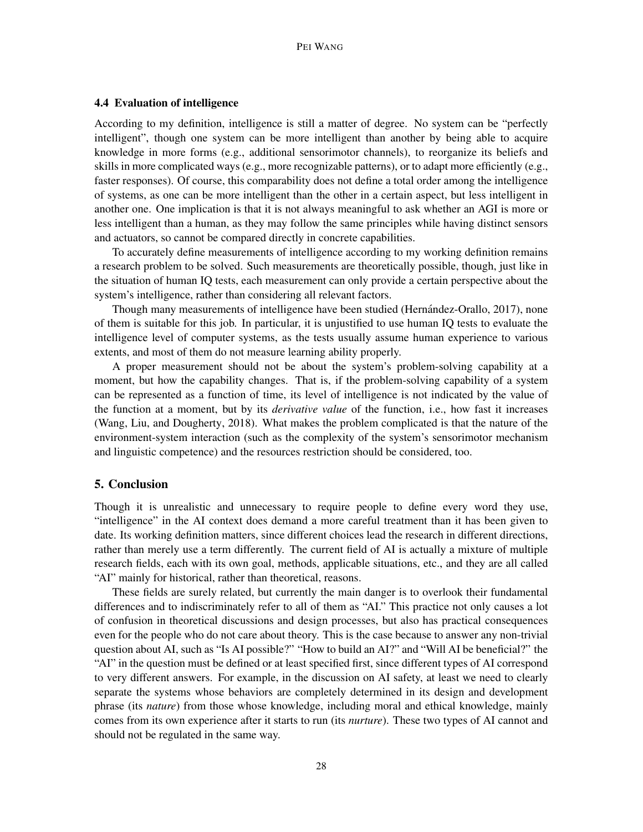## 4.4 Evaluation of intelligence

According to my definition, intelligence is still a matter of degree. No system can be "perfectly intelligent", though one system can be more intelligent than another by being able to acquire knowledge in more forms (e.g., additional sensorimotor channels), to reorganize its beliefs and skills in more complicated ways (e.g., more recognizable patterns), or to adapt more efficiently (e.g., faster responses). Of course, this comparability does not define a total order among the intelligence of systems, as one can be more intelligent than the other in a certain aspect, but less intelligent in another one. One implication is that it is not always meaningful to ask whether an AGI is more or less intelligent than a human, as they may follow the same principles while having distinct sensors and actuators, so cannot be compared directly in concrete capabilities.

To accurately define measurements of intelligence according to my working definition remains a research problem to be solved. Such measurements are theoretically possible, though, just like in the situation of human IQ tests, each measurement can only provide a certain perspective about the system's intelligence, rather than considering all relevant factors.

Though many measurements of intelligence have been studied (Hernández-Orallo, 2017), none of them is suitable for this job. In particular, it is unjustified to use human IQ tests to evaluate the intelligence level of computer systems, as the tests usually assume human experience to various extents, and most of them do not measure learning ability properly.

A proper measurement should not be about the system's problem-solving capability at a moment, but how the capability changes. That is, if the problem-solving capability of a system can be represented as a function of time, its level of intelligence is not indicated by the value of the function at a moment, but by its *derivative value* of the function, i.e., how fast it increases (Wang, Liu, and Dougherty, 2018). What makes the problem complicated is that the nature of the environment-system interaction (such as the complexity of the system's sensorimotor mechanism and linguistic competence) and the resources restriction should be considered, too.

## 5. Conclusion

Though it is unrealistic and unnecessary to require people to define every word they use, "intelligence" in the AI context does demand a more careful treatment than it has been given to date. Its working definition matters, since different choices lead the research in different directions, rather than merely use a term differently. The current field of AI is actually a mixture of multiple research fields, each with its own goal, methods, applicable situations, etc., and they are all called "AI" mainly for historical, rather than theoretical, reasons.

These fields are surely related, but currently the main danger is to overlook their fundamental differences and to indiscriminately refer to all of them as "AI." This practice not only causes a lot of confusion in theoretical discussions and design processes, but also has practical consequences even for the people who do not care about theory. This is the case because to answer any non-trivial question about AI, such as "Is AI possible?" "How to build an AI?" and "Will AI be beneficial?" the "AI" in the question must be defined or at least specified first, since different types of AI correspond to very different answers. For example, in the discussion on AI safety, at least we need to clearly separate the systems whose behaviors are completely determined in its design and development phrase (its *nature*) from those whose knowledge, including moral and ethical knowledge, mainly comes from its own experience after it starts to run (its *nurture*). These two types of AI cannot and should not be regulated in the same way.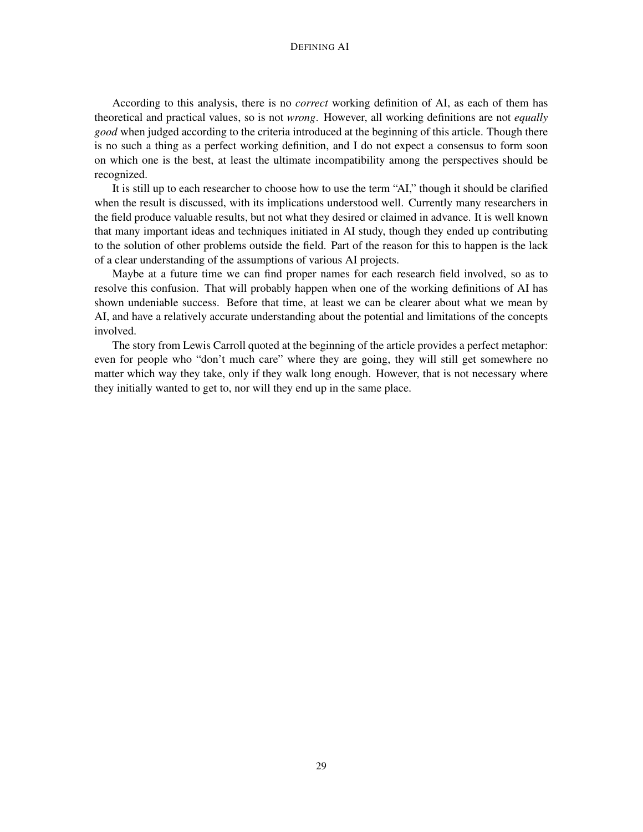According to this analysis, there is no *correct* working definition of AI, as each of them has theoretical and practical values, so is not *wrong*. However, all working definitions are not *equally good* when judged according to the criteria introduced at the beginning of this article. Though there is no such a thing as a perfect working definition, and I do not expect a consensus to form soon on which one is the best, at least the ultimate incompatibility among the perspectives should be recognized.

It is still up to each researcher to choose how to use the term "AI," though it should be clarified when the result is discussed, with its implications understood well. Currently many researchers in the field produce valuable results, but not what they desired or claimed in advance. It is well known that many important ideas and techniques initiated in AI study, though they ended up contributing to the solution of other problems outside the field. Part of the reason for this to happen is the lack of a clear understanding of the assumptions of various AI projects.

Maybe at a future time we can find proper names for each research field involved, so as to resolve this confusion. That will probably happen when one of the working definitions of AI has shown undeniable success. Before that time, at least we can be clearer about what we mean by AI, and have a relatively accurate understanding about the potential and limitations of the concepts involved.

The story from Lewis Carroll quoted at the beginning of the article provides a perfect metaphor: even for people who "don't much care" where they are going, they will still get somewhere no matter which way they take, only if they walk long enough. However, that is not necessary where they initially wanted to get to, nor will they end up in the same place.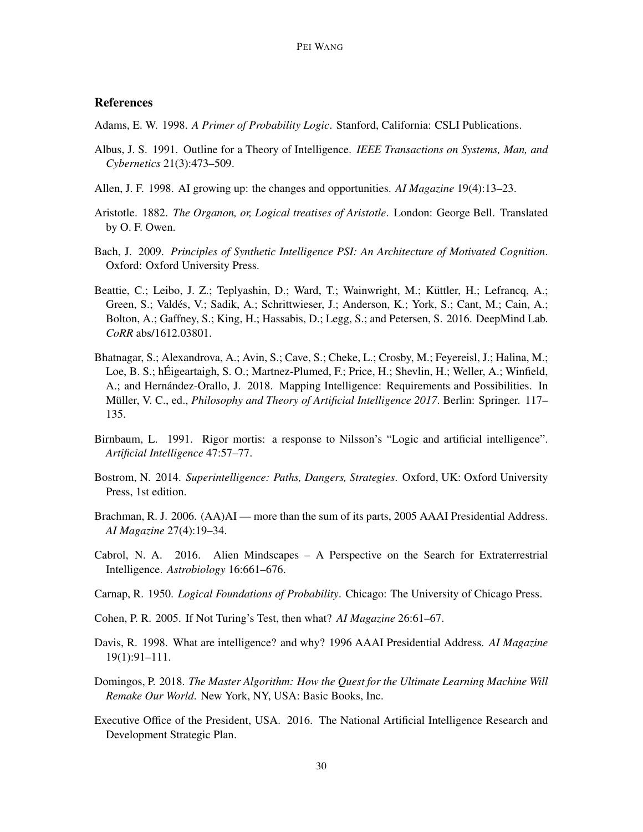## **References**

Adams, E. W. 1998. *A Primer of Probability Logic*. Stanford, California: CSLI Publications.

- Albus, J. S. 1991. Outline for a Theory of Intelligence. *IEEE Transactions on Systems, Man, and Cybernetics* 21(3):473–509.
- Allen, J. F. 1998. AI growing up: the changes and opportunities. *AI Magazine* 19(4):13–23.
- Aristotle. 1882. *The Organon, or, Logical treatises of Aristotle*. London: George Bell. Translated by O. F. Owen.
- Bach, J. 2009. *Principles of Synthetic Intelligence PSI: An Architecture of Motivated Cognition*. Oxford: Oxford University Press.
- Beattie, C.; Leibo, J. Z.; Teplyashin, D.; Ward, T.; Wainwright, M.; Küttler, H.; Lefrancq, A.; Green, S.; Valdes, V.; Sadik, A.; Schrittwieser, J.; Anderson, K.; York, S.; Cant, M.; Cain, A.; ´ Bolton, A.; Gaffney, S.; King, H.; Hassabis, D.; Legg, S.; and Petersen, S. 2016. DeepMind Lab. *CoRR* abs/1612.03801.
- Bhatnagar, S.; Alexandrova, A.; Avin, S.; Cave, S.; Cheke, L.; Crosby, M.; Feyereisl, J.; Halina, M.; Loe, B. S.; hÉigeartaigh, S. O.; Martnez-Plumed, F.; Price, H.; Shevlin, H.; Weller, A.; Winfield, A.; and Hernández-Orallo, J. 2018. Mapping Intelligence: Requirements and Possibilities. In Müller, V. C., ed., *Philosophy and Theory of Artificial Intelligence 2017*. Berlin: Springer. 117– 135.
- Birnbaum, L. 1991. Rigor mortis: a response to Nilsson's "Logic and artificial intelligence". *Artificial Intelligence* 47:57–77.
- Bostrom, N. 2014. *Superintelligence: Paths, Dangers, Strategies*. Oxford, UK: Oxford University Press, 1st edition.
- Brachman, R. J. 2006. (AA)AI more than the sum of its parts, 2005 AAAI Presidential Address. *AI Magazine* 27(4):19–34.
- Cabrol, N. A. 2016. Alien Mindscapes A Perspective on the Search for Extraterrestrial Intelligence. *Astrobiology* 16:661–676.
- Carnap, R. 1950. *Logical Foundations of Probability*. Chicago: The University of Chicago Press.
- Cohen, P. R. 2005. If Not Turing's Test, then what? *AI Magazine* 26:61–67.
- Davis, R. 1998. What are intelligence? and why? 1996 AAAI Presidential Address. *AI Magazine* 19(1):91–111.
- Domingos, P. 2018. *The Master Algorithm: How the Quest for the Ultimate Learning Machine Will Remake Our World*. New York, NY, USA: Basic Books, Inc.
- Executive Office of the President, USA. 2016. The National Artificial Intelligence Research and Development Strategic Plan.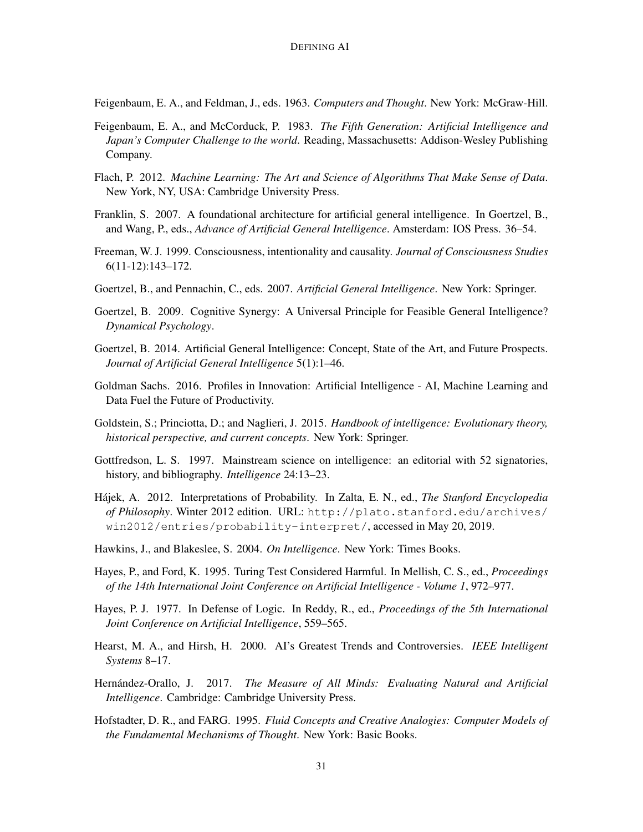Feigenbaum, E. A., and Feldman, J., eds. 1963. *Computers and Thought*. New York: McGraw-Hill.

- Feigenbaum, E. A., and McCorduck, P. 1983. *The Fifth Generation: Artificial Intelligence and Japan's Computer Challenge to the world*. Reading, Massachusetts: Addison-Wesley Publishing Company.
- Flach, P. 2012. *Machine Learning: The Art and Science of Algorithms That Make Sense of Data*. New York, NY, USA: Cambridge University Press.
- Franklin, S. 2007. A foundational architecture for artificial general intelligence. In Goertzel, B., and Wang, P., eds., *Advance of Artificial General Intelligence*. Amsterdam: IOS Press. 36–54.
- Freeman, W. J. 1999. Consciousness, intentionality and causality. *Journal of Consciousness Studies* 6(11-12):143–172.
- Goertzel, B., and Pennachin, C., eds. 2007. *Artificial General Intelligence*. New York: Springer.
- Goertzel, B. 2009. Cognitive Synergy: A Universal Principle for Feasible General Intelligence? *Dynamical Psychology*.
- Goertzel, B. 2014. Artificial General Intelligence: Concept, State of the Art, and Future Prospects. *Journal of Artificial General Intelligence* 5(1):1–46.
- Goldman Sachs. 2016. Profiles in Innovation: Artificial Intelligence AI, Machine Learning and Data Fuel the Future of Productivity.
- Goldstein, S.; Princiotta, D.; and Naglieri, J. 2015. *Handbook of intelligence: Evolutionary theory, historical perspective, and current concepts*. New York: Springer.
- Gottfredson, L. S. 1997. Mainstream science on intelligence: an editorial with 52 signatories, history, and bibliography. *Intelligence* 24:13–23.
- Hajek, A. 2012. Interpretations of Probability. In Zalta, E. N., ed., ´ *The Stanford Encyclopedia of Philosophy*. Winter 2012 edition. URL: http://plato.stanford.edu/archives/ win2012/entries/probability-interpret/, accessed in May 20, 2019.
- Hawkins, J., and Blakeslee, S. 2004. *On Intelligence*. New York: Times Books.
- Hayes, P., and Ford, K. 1995. Turing Test Considered Harmful. In Mellish, C. S., ed., *Proceedings of the 14th International Joint Conference on Artificial Intelligence - Volume 1*, 972–977.
- Hayes, P. J. 1977. In Defense of Logic. In Reddy, R., ed., *Proceedings of the 5th International Joint Conference on Artificial Intelligence*, 559–565.
- Hearst, M. A., and Hirsh, H. 2000. AI's Greatest Trends and Controversies. *IEEE Intelligent Systems* 8–17.
- Hernández-Orallo, J. 2017. *The Measure of All Minds: Evaluating Natural and Artificial Intelligence*. Cambridge: Cambridge University Press.
- Hofstadter, D. R., and FARG. 1995. *Fluid Concepts and Creative Analogies: Computer Models of the Fundamental Mechanisms of Thought*. New York: Basic Books.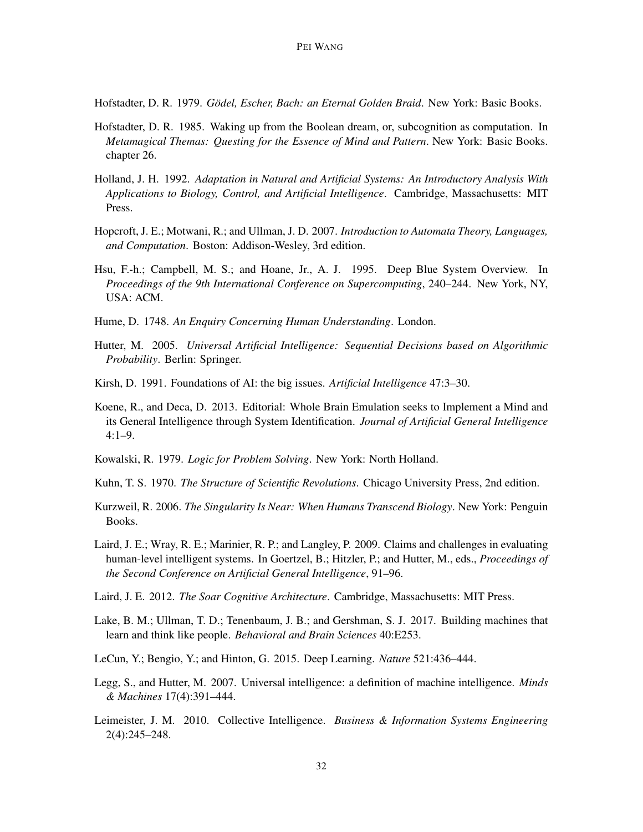Hofstadter, D. R. 1979. *Gödel, Escher, Bach: an Eternal Golden Braid*. New York: Basic Books.

- Hofstadter, D. R. 1985. Waking up from the Boolean dream, or, subcognition as computation. In *Metamagical Themas: Questing for the Essence of Mind and Pattern*. New York: Basic Books. chapter 26.
- Holland, J. H. 1992. *Adaptation in Natural and Artificial Systems: An Introductory Analysis With Applications to Biology, Control, and Artificial Intelligence*. Cambridge, Massachusetts: MIT Press.
- Hopcroft, J. E.; Motwani, R.; and Ullman, J. D. 2007. *Introduction to Automata Theory, Languages, and Computation*. Boston: Addison-Wesley, 3rd edition.
- Hsu, F.-h.; Campbell, M. S.; and Hoane, Jr., A. J. 1995. Deep Blue System Overview. In *Proceedings of the 9th International Conference on Supercomputing*, 240–244. New York, NY, USA: ACM.
- Hume, D. 1748. *An Enquiry Concerning Human Understanding*. London.
- Hutter, M. 2005. *Universal Artificial Intelligence: Sequential Decisions based on Algorithmic Probability*. Berlin: Springer.
- Kirsh, D. 1991. Foundations of AI: the big issues. *Artificial Intelligence* 47:3–30.
- Koene, R., and Deca, D. 2013. Editorial: Whole Brain Emulation seeks to Implement a Mind and its General Intelligence through System Identification. *Journal of Artificial General Intelligence* 4:1–9.
- Kowalski, R. 1979. *Logic for Problem Solving*. New York: North Holland.
- Kuhn, T. S. 1970. *The Structure of Scientific Revolutions*. Chicago University Press, 2nd edition.
- Kurzweil, R. 2006. *The Singularity Is Near: When Humans Transcend Biology*. New York: Penguin Books.
- Laird, J. E.; Wray, R. E.; Marinier, R. P.; and Langley, P. 2009. Claims and challenges in evaluating human-level intelligent systems. In Goertzel, B.; Hitzler, P.; and Hutter, M., eds., *Proceedings of the Second Conference on Artificial General Intelligence*, 91–96.
- Laird, J. E. 2012. *The Soar Cognitive Architecture*. Cambridge, Massachusetts: MIT Press.
- Lake, B. M.; Ullman, T. D.; Tenenbaum, J. B.; and Gershman, S. J. 2017. Building machines that learn and think like people. *Behavioral and Brain Sciences* 40:E253.
- LeCun, Y.; Bengio, Y.; and Hinton, G. 2015. Deep Learning. *Nature* 521:436–444.
- Legg, S., and Hutter, M. 2007. Universal intelligence: a definition of machine intelligence. *Minds & Machines* 17(4):391–444.
- Leimeister, J. M. 2010. Collective Intelligence. *Business & Information Systems Engineering* 2(4):245–248.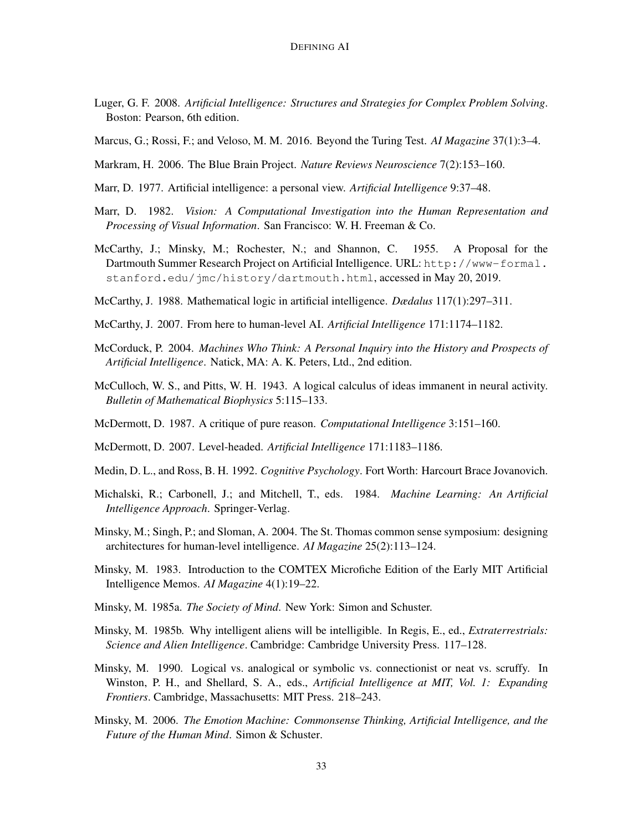- Luger, G. F. 2008. *Artificial Intelligence: Structures and Strategies for Complex Problem Solving*. Boston: Pearson, 6th edition.
- Marcus, G.; Rossi, F.; and Veloso, M. M. 2016. Beyond the Turing Test. *AI Magazine* 37(1):3–4.
- Markram, H. 2006. The Blue Brain Project. *Nature Reviews Neuroscience* 7(2):153–160.
- Marr, D. 1977. Artificial intelligence: a personal view. *Artificial Intelligence* 9:37–48.
- Marr, D. 1982. *Vision: A Computational Investigation into the Human Representation and Processing of Visual Information*. San Francisco: W. H. Freeman & Co.
- McCarthy, J.; Minsky, M.; Rochester, N.; and Shannon, C. 1955. A Proposal for the Dartmouth Summer Research Project on Artificial Intelligence. URL: http://www-formal. stanford.edu/jmc/history/dartmouth.html, accessed in May 20, 2019.
- McCarthy, J. 1988. Mathematical logic in artificial intelligence. *Dædalus* 117(1):297–311.
- McCarthy, J. 2007. From here to human-level AI. *Artificial Intelligence* 171:1174–1182.
- McCorduck, P. 2004. *Machines Who Think: A Personal Inquiry into the History and Prospects of Artificial Intelligence*. Natick, MA: A. K. Peters, Ltd., 2nd edition.
- McCulloch, W. S., and Pitts, W. H. 1943. A logical calculus of ideas immanent in neural activity. *Bulletin of Mathematical Biophysics* 5:115–133.
- McDermott, D. 1987. A critique of pure reason. *Computational Intelligence* 3:151–160.
- McDermott, D. 2007. Level-headed. *Artificial Intelligence* 171:1183–1186.
- Medin, D. L., and Ross, B. H. 1992. *Cognitive Psychology*. Fort Worth: Harcourt Brace Jovanovich.
- Michalski, R.; Carbonell, J.; and Mitchell, T., eds. 1984. *Machine Learning: An Artificial Intelligence Approach*. Springer-Verlag.
- Minsky, M.; Singh, P.; and Sloman, A. 2004. The St. Thomas common sense symposium: designing architectures for human-level intelligence. *AI Magazine* 25(2):113–124.
- Minsky, M. 1983. Introduction to the COMTEX Microfiche Edition of the Early MIT Artificial Intelligence Memos. *AI Magazine* 4(1):19–22.
- Minsky, M. 1985a. *The Society of Mind*. New York: Simon and Schuster.
- Minsky, M. 1985b. Why intelligent aliens will be intelligible. In Regis, E., ed., *Extraterrestrials: Science and Alien Intelligence*. Cambridge: Cambridge University Press. 117–128.
- Minsky, M. 1990. Logical vs. analogical or symbolic vs. connectionist or neat vs. scruffy. In Winston, P. H., and Shellard, S. A., eds., *Artificial Intelligence at MIT, Vol. 1: Expanding Frontiers*. Cambridge, Massachusetts: MIT Press. 218–243.
- Minsky, M. 2006. *The Emotion Machine: Commonsense Thinking, Artificial Intelligence, and the Future of the Human Mind*. Simon & Schuster.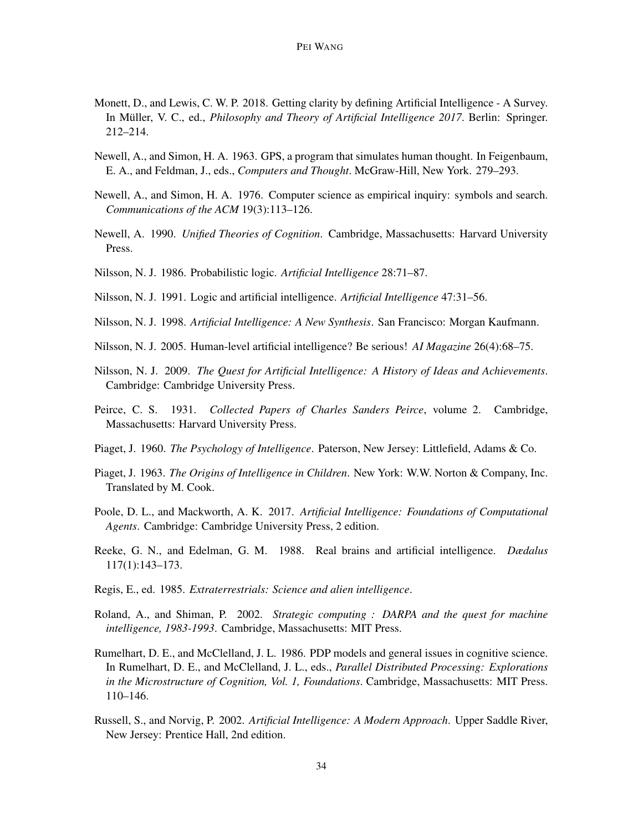- Monett, D., and Lewis, C. W. P. 2018. Getting clarity by defining Artificial Intelligence A Survey. In Müller, V. C., ed., *Philosophy and Theory of Artificial Intelligence 2017*. Berlin: Springer. 212–214.
- Newell, A., and Simon, H. A. 1963. GPS, a program that simulates human thought. In Feigenbaum, E. A., and Feldman, J., eds., *Computers and Thought*. McGraw-Hill, New York. 279–293.
- Newell, A., and Simon, H. A. 1976. Computer science as empirical inquiry: symbols and search. *Communications of the ACM* 19(3):113–126.
- Newell, A. 1990. *Unified Theories of Cognition*. Cambridge, Massachusetts: Harvard University Press.
- Nilsson, N. J. 1986. Probabilistic logic. *Artificial Intelligence* 28:71–87.
- Nilsson, N. J. 1991. Logic and artificial intelligence. *Artificial Intelligence* 47:31–56.
- Nilsson, N. J. 1998. *Artificial Intelligence: A New Synthesis*. San Francisco: Morgan Kaufmann.
- Nilsson, N. J. 2005. Human-level artificial intelligence? Be serious! *AI Magazine* 26(4):68–75.
- Nilsson, N. J. 2009. *The Quest for Artificial Intelligence: A History of Ideas and Achievements*. Cambridge: Cambridge University Press.
- Peirce, C. S. 1931. *Collected Papers of Charles Sanders Peirce*, volume 2. Cambridge, Massachusetts: Harvard University Press.
- Piaget, J. 1960. *The Psychology of Intelligence*. Paterson, New Jersey: Littlefield, Adams & Co.
- Piaget, J. 1963. *The Origins of Intelligence in Children*. New York: W.W. Norton & Company, Inc. Translated by M. Cook.
- Poole, D. L., and Mackworth, A. K. 2017. *Artificial Intelligence: Foundations of Computational Agents*. Cambridge: Cambridge University Press, 2 edition.
- Reeke, G. N., and Edelman, G. M. 1988. Real brains and artificial intelligence. *Dædalus* 117(1):143–173.
- Regis, E., ed. 1985. *Extraterrestrials: Science and alien intelligence*.
- Roland, A., and Shiman, P. 2002. *Strategic computing : DARPA and the quest for machine intelligence, 1983-1993*. Cambridge, Massachusetts: MIT Press.
- Rumelhart, D. E., and McClelland, J. L. 1986. PDP models and general issues in cognitive science. In Rumelhart, D. E., and McClelland, J. L., eds., *Parallel Distributed Processing: Explorations in the Microstructure of Cognition, Vol. 1, Foundations*. Cambridge, Massachusetts: MIT Press. 110–146.
- Russell, S., and Norvig, P. 2002. *Artificial Intelligence: A Modern Approach*. Upper Saddle River, New Jersey: Prentice Hall, 2nd edition.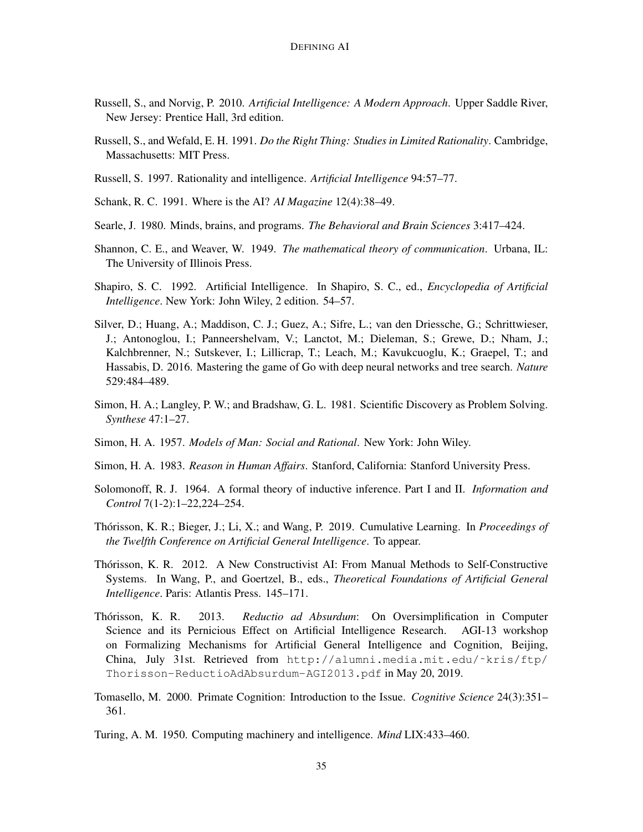- Russell, S., and Norvig, P. 2010. *Artificial Intelligence: A Modern Approach*. Upper Saddle River, New Jersey: Prentice Hall, 3rd edition.
- Russell, S., and Wefald, E. H. 1991. *Do the Right Thing: Studies in Limited Rationality*. Cambridge, Massachusetts: MIT Press.
- Russell, S. 1997. Rationality and intelligence. *Artificial Intelligence* 94:57–77.
- Schank, R. C. 1991. Where is the AI? *AI Magazine* 12(4):38–49.
- Searle, J. 1980. Minds, brains, and programs. *The Behavioral and Brain Sciences* 3:417–424.
- Shannon, C. E., and Weaver, W. 1949. *The mathematical theory of communication*. Urbana, IL: The University of Illinois Press.
- Shapiro, S. C. 1992. Artificial Intelligence. In Shapiro, S. C., ed., *Encyclopedia of Artificial Intelligence*. New York: John Wiley, 2 edition. 54–57.
- Silver, D.; Huang, A.; Maddison, C. J.; Guez, A.; Sifre, L.; van den Driessche, G.; Schrittwieser, J.; Antonoglou, I.; Panneershelvam, V.; Lanctot, M.; Dieleman, S.; Grewe, D.; Nham, J.; Kalchbrenner, N.; Sutskever, I.; Lillicrap, T.; Leach, M.; Kavukcuoglu, K.; Graepel, T.; and Hassabis, D. 2016. Mastering the game of Go with deep neural networks and tree search. *Nature* 529:484–489.
- Simon, H. A.; Langley, P. W.; and Bradshaw, G. L. 1981. Scientific Discovery as Problem Solving. *Synthese* 47:1–27.
- Simon, H. A. 1957. *Models of Man: Social and Rational*. New York: John Wiley.
- Simon, H. A. 1983. *Reason in Human Affairs*. Stanford, California: Stanford University Press.
- Solomonoff, R. J. 1964. A formal theory of inductive inference. Part I and II. *Information and Control* 7(1-2):1–22,224–254.
- Thorisson, K. R.; Bieger, J.; Li, X.; and Wang, P. 2019. Cumulative Learning. In ´ *Proceedings of the Twelfth Conference on Artificial General Intelligence*. To appear.
- Thorisson, K. R. 2012. A New Constructivist AI: From Manual Methods to Self-Constructive ´ Systems. In Wang, P., and Goertzel, B., eds., *Theoretical Foundations of Artificial General Intelligence*. Paris: Atlantis Press. 145–171.
- Thórisson, K. R. 2013. Reductio ad Absurdum: On Oversimplification in Computer Science and its Pernicious Effect on Artificial Intelligence Research. AGI-13 workshop on Formalizing Mechanisms for Artificial General Intelligence and Cognition, Beijing, China, July 31st. Retrieved from http://alumni.media.mit.edu/˜kris/ftp/ Thorisson-ReductioAdAbsurdum-AGI2013.pdf in May 20, 2019.
- Tomasello, M. 2000. Primate Cognition: Introduction to the Issue. *Cognitive Science* 24(3):351– 361.
- Turing, A. M. 1950. Computing machinery and intelligence. *Mind* LIX:433–460.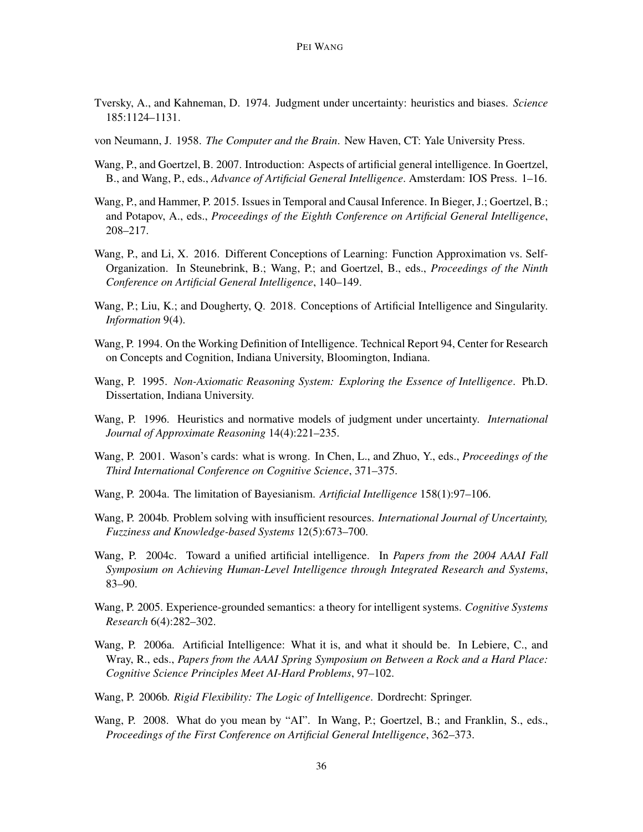- Tversky, A., and Kahneman, D. 1974. Judgment under uncertainty: heuristics and biases. *Science* 185:1124–1131.
- von Neumann, J. 1958. *The Computer and the Brain*. New Haven, CT: Yale University Press.
- Wang, P., and Goertzel, B. 2007. Introduction: Aspects of artificial general intelligence. In Goertzel, B., and Wang, P., eds., *Advance of Artificial General Intelligence*. Amsterdam: IOS Press. 1–16.
- Wang, P., and Hammer, P. 2015. Issues in Temporal and Causal Inference. In Bieger, J.; Goertzel, B.; and Potapov, A., eds., *Proceedings of the Eighth Conference on Artificial General Intelligence*, 208–217.
- Wang, P., and Li, X. 2016. Different Conceptions of Learning: Function Approximation vs. Self-Organization. In Steunebrink, B.; Wang, P.; and Goertzel, B., eds., *Proceedings of the Ninth Conference on Artificial General Intelligence*, 140–149.
- Wang, P.; Liu, K.; and Dougherty, Q. 2018. Conceptions of Artificial Intelligence and Singularity. *Information* 9(4).
- Wang, P. 1994. On the Working Definition of Intelligence. Technical Report 94, Center for Research on Concepts and Cognition, Indiana University, Bloomington, Indiana.
- Wang, P. 1995. *Non-Axiomatic Reasoning System: Exploring the Essence of Intelligence*. Ph.D. Dissertation, Indiana University.
- Wang, P. 1996. Heuristics and normative models of judgment under uncertainty. *International Journal of Approximate Reasoning* 14(4):221–235.
- Wang, P. 2001. Wason's cards: what is wrong. In Chen, L., and Zhuo, Y., eds., *Proceedings of the Third International Conference on Cognitive Science*, 371–375.
- Wang, P. 2004a. The limitation of Bayesianism. *Artificial Intelligence* 158(1):97–106.
- Wang, P. 2004b. Problem solving with insufficient resources. *International Journal of Uncertainty, Fuzziness and Knowledge-based Systems* 12(5):673–700.
- Wang, P. 2004c. Toward a unified artificial intelligence. In *Papers from the 2004 AAAI Fall Symposium on Achieving Human-Level Intelligence through Integrated Research and Systems*, 83–90.
- Wang, P. 2005. Experience-grounded semantics: a theory for intelligent systems. *Cognitive Systems Research* 6(4):282–302.
- Wang, P. 2006a. Artificial Intelligence: What it is, and what it should be. In Lebiere, C., and Wray, R., eds., *Papers from the AAAI Spring Symposium on Between a Rock and a Hard Place: Cognitive Science Principles Meet AI-Hard Problems*, 97–102.
- Wang, P. 2006b. *Rigid Flexibility: The Logic of Intelligence*. Dordrecht: Springer.
- Wang, P. 2008. What do you mean by "AI". In Wang, P.; Goertzel, B.; and Franklin, S., eds., *Proceedings of the First Conference on Artificial General Intelligence*, 362–373.